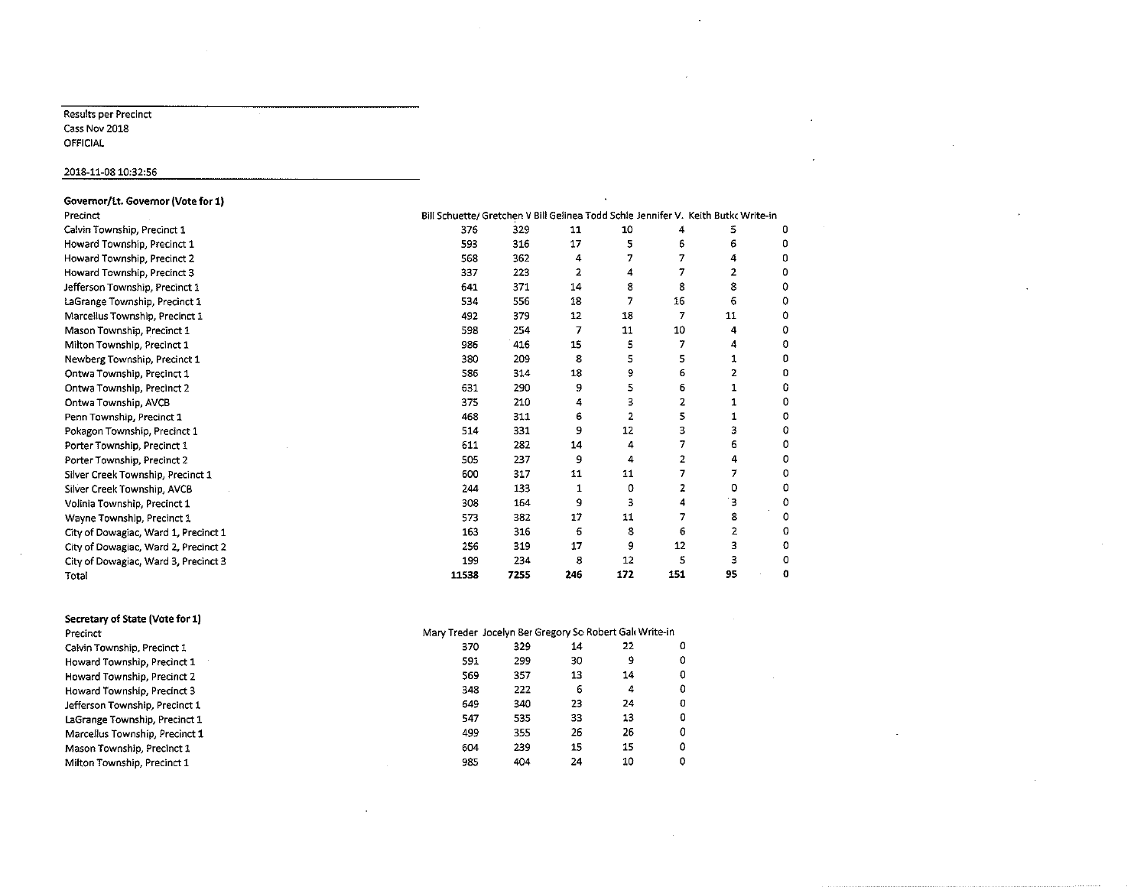#### Results per Precinct Cass Nov 2018 OFFICIAL

### 2018-11-0810:32:56

| Governor/Lt. Governor (Vote for 1)   |                                                                                    |      |                |                |     |    |   |  |  |  |
|--------------------------------------|------------------------------------------------------------------------------------|------|----------------|----------------|-----|----|---|--|--|--|
| Precinct                             | Bill Schuette/ Gretchen V Bill Gelinea Todd Schle Jennifer V. Keith Butk: Write-in |      |                |                |     |    |   |  |  |  |
| Calvin Township, Precinct 1          | 376                                                                                | 329  | 11             | 10             | 4   | 5  | 0 |  |  |  |
| Howard Township, Precinct 1          | 593                                                                                | 316  | 17             | 5              | 6   | 6  | 0 |  |  |  |
| Howard Township, Precinct 2          | 568                                                                                | 362  | 4              | 7              | 7   | 4  | Ω |  |  |  |
| Howard Township, Precinct 3          | 337                                                                                | 223  | $\overline{2}$ | 4              | 7   | 2  | Ω |  |  |  |
| Jefferson Township, Precinct 1       | 641                                                                                | 371  | 14             | 8              | 8   | 8  |   |  |  |  |
| LaGrange Township, Precinct 1        | 534                                                                                | 556  | 18             | 7              | 16  | 6  | 0 |  |  |  |
| Marcellus Township, Precinct 1       | 492                                                                                | 379  | 12             | 18             | 7   | 11 | o |  |  |  |
| Mason Township, Precinct 1           | 598                                                                                | 254  | 7              | 11             | 10  | 4  | 0 |  |  |  |
| Milton Township, Precinct 1          | 986                                                                                | 416  | 15             | 5              | 7   | 4  | o |  |  |  |
| Newberg Township, Precinct 1         | 380                                                                                | 209  | 8              | 5              | 5   | 1  | ٥ |  |  |  |
| Ontwa Township, Precinct 1           | 586                                                                                | 314  | 18             | و              | 6   | 2  | 0 |  |  |  |
| Ontwa Township, Precinct 2           | 631                                                                                | 290  | 9              | 5              | 6   | 1  | 0 |  |  |  |
| Ontwa Township, AVCB                 | 375                                                                                | 210  | 4              | з              | 2   | 1  | 0 |  |  |  |
| Penn Township, Precinct 1            | 468                                                                                | 311  | 6              | $\overline{2}$ | 5   | 1  | o |  |  |  |
| Pokagon Township, Precinct 1         | 514                                                                                | 331  | 9              | 12             | 3   | 3  | Ω |  |  |  |
| Porter Township, Precinct 1          | 611                                                                                | 282  | 14             | 4              | 7   | 6  | ο |  |  |  |
| Porter Township, Precinct 2          | 505                                                                                | 237  | 9              | 4              | 2   | 4  | 0 |  |  |  |
| Silver Creek Township, Precinct 1    | 600                                                                                | 317  | 11             | 11             | 7   | 7  | ٥ |  |  |  |
| Silver Creek Township, AVCB          | 244                                                                                | 133  | 1              | 0              | 2   | 0  | 0 |  |  |  |
| Volinia Township, Precinct 1         | 308                                                                                | 164  | 9              | 3              | 4   | з  | 0 |  |  |  |
| Wayne Township, Precinct 1           | 573                                                                                | 382  | 17             | 11             | 7   | 8  | 0 |  |  |  |
| City of Dowagiac, Ward 1, Precinct 1 | 163                                                                                | 316  | 6              | 8              | 6   | 2  | 0 |  |  |  |
| City of Dowagiac, Ward 2, Precinct 2 | 256                                                                                | 319  | 17             | 9              | 12  | 3  | 0 |  |  |  |
| City of Dowagiac, Ward 3, Precinct 3 | 199                                                                                | 234  | 8              | 12             | 5   | 3  | о |  |  |  |
| Total                                | 11538                                                                              | 7255 | 246            | 172            | 151 | 95 | O |  |  |  |
| Secretary of State (Vote for 1)      |                                                                                    |      |                |                |     |    |   |  |  |  |
| Precinct                             | Mary Treder Jocelyn Ber Gregory Sc Robert Gal Write-in                             |      |                |                |     |    |   |  |  |  |
| Calvin Township, Precinct 1          | 370                                                                                | 329  | 14             | 22             | ٥   |    |   |  |  |  |
| Howard Township, Precinct 1          | 591                                                                                | 299  | 30             | 9              | 0   |    |   |  |  |  |
| Howard Township, Precinct 2          | 569                                                                                | 357  | 13             | 14             | 0   |    |   |  |  |  |
|                                      |                                                                                    |      |                |                |     |    |   |  |  |  |

Howard Township, Precinct 3 348 222 6 4 0 Jefferson Township, Precinct 1 649 340 23 24 0 LaGrange Township, Precinct 1 547 535 33 13 0 Marcellus Township, Precinct 1 Mason Township, Precinct 1 604 239 15 0

Milton Township, Precinct 1 985 404 24 10 0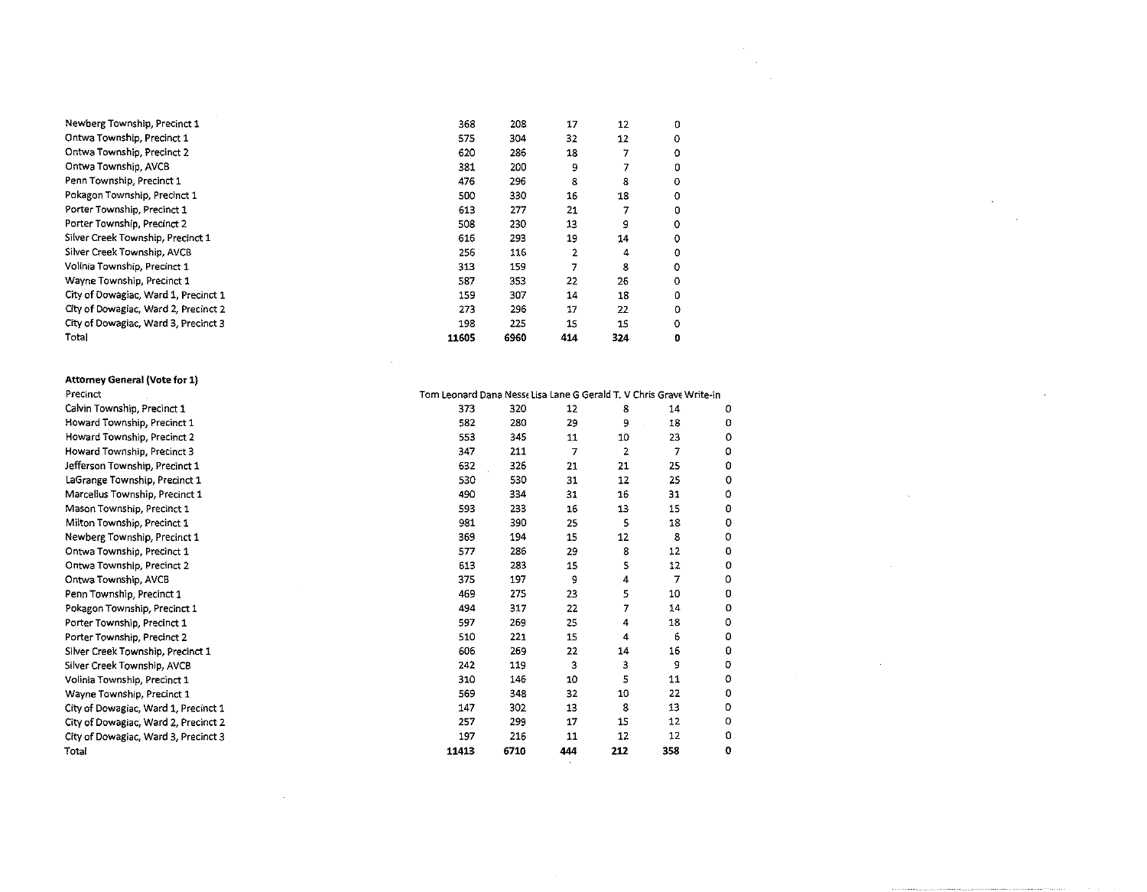| Newberg Township, Precinct 1         | 368   | 208  | 17  | 12  | 0 |  |
|--------------------------------------|-------|------|-----|-----|---|--|
| Ontwa Township, Precinct 1           | 575   | 304  | 32  | 12  | ٥ |  |
| Ontwa Township, Precinct 2           | 620   | 286  | 18  |     | ٥ |  |
| Ontwa Township, AVCB                 | 381   | 200  | 9   |     | 0 |  |
| Penn Township, Precinct 1            | 476   | 296  | 8   | 8   | ٥ |  |
| Pokagon Township, Precinct 1         | 500   | 330  | 16  | 18  | 0 |  |
| Porter Township, Precinct 1          | 613   | 277  | 21  |     | 0 |  |
| Porter Township, Precinct 2          | 508   | 230  | 13  | 9   | ٥ |  |
| Silver Creek Township, Precinct 1    | 616   | 293  | 19  | 14  | ٥ |  |
| Silver Creek Township, AVCB          | 256   | 115  | 2   | 4   | o |  |
| Volinia Township, Precinct 1         | 313   | 159  | 7   | 8   | ٥ |  |
| Wayne Township, Precinct 1           | 587   | 353  | 22  | 26  | ٥ |  |
| City of Dowagiac, Ward 1, Precinct 1 | 159   | 307  | 14  | 18  | 0 |  |
| City of Dowagiac, Ward 2, Precinct 2 | 273   | 296  | 17  | 22  | ٥ |  |
| City of Dowagiac, Ward 3, Precinct 3 | 198   | 225  | 15  | 15  | Ω |  |
| Total                                | 11605 | 6960 | 414 | 324 | 0 |  |
|                                      |       |      |     |     |   |  |

 $\mathcal{L}_{\text{max}}$  and  $\mathcal{L}_{\text{max}}$  . The set of  $\mathcal{L}_{\text{max}}$ 

| <b>Attorney General (Vote for 1)</b> |                                                                     |      |     |     |     |   |
|--------------------------------------|---------------------------------------------------------------------|------|-----|-----|-----|---|
| Precinct                             | Tom Leonard Dana Nesse Lisa Lane G Gerald T. V Chris Grave Write-in |      |     |     |     |   |
| Calvin Township, Precinct 1          | 373                                                                 | 320  | 12  | 8   | 14  | o |
| Howard Township, Precinct 1          | 582                                                                 | 280  | 29  | 9   | 18  | 0 |
| Howard Township, Precinct 2          | 553                                                                 | 345  | 11  | 10  | 23  | ٥ |
| Howard Township, Precinct 3          | 347                                                                 | 211  | 7   | 2   | 7   | ٥ |
| Jefferson Township, Precinct 1       | 632                                                                 | 326  | 21  | 21  | 25  | 0 |
| LaGrange Township, Precinct 1        | 530                                                                 | 530  | 31  | 12  | 25  | Ω |
| Marcellus Township, Precinct 1       | 490                                                                 | 334  | 31  | 16  | 31  | ٥ |
| Mason Township, Precinct 1           | 593                                                                 | 233  | 16  | 13  | 15  | 0 |
| Milton Township, Precinct 1          | 981                                                                 | 390  | 25  | 5   | 18  | 0 |
| Newberg Township, Precinct 1         | 369                                                                 | 194  | 15  | 12  | 8   | ٥ |
| Ontwa Township, Precinct 1           | 577                                                                 | 286  | 29  | 8   | 12  | 0 |
| Ontwa Township, Precinct 2           | 613                                                                 | 283  | 15  | 5   | 12  | ٥ |
| Ontwa Township, AVCB                 | 375                                                                 | 197  | 9   | 4   | 7   | 0 |
| Penn Township, Precinct 1            | 469                                                                 | 275  | 23  | 5   | 10  | 0 |
| Pokagon Township, Precinct 1         | 494                                                                 | 317  | 22  | 7   | 14  | 0 |
| Porter Township, Precinct 1          | 597                                                                 | 269  | 25  | 4   | 18  | ٥ |
| Porter Township, Precinct 2          | 510                                                                 | 221  | 15  | 4   | 6   | o |
| Silver Creek Township, Precinct 1    | 606                                                                 | 269  | 22  | 14  | 16  | ٥ |
| Silver Creek Township, AVCB          | 242                                                                 | 119  | 3   | 3   | 9   | o |
| Volinia Township, Precinct 1         | 310                                                                 | 146  | 10  | 5   | 11  | ٥ |
| Wayne Township, Precinct 1           | 569                                                                 | 348  | 32  | 10  | 22  | ٥ |
| City of Dowagiac, Ward 1, Precinct 1 | 147                                                                 | 302  | 13  | 8   | 13  | 0 |
| City of Dowagiac, Ward 2, Precinct 2 | 257                                                                 | 299  | 17  | 15  | 12  | ο |
| City of Dowagiac, Ward 3, Precinct 3 | 197                                                                 | 216  | 11  | 12  | 12  | 0 |
| Total                                | 11413                                                               | 6710 | 444 | 212 | 358 | 0 |

 $\mathcal{L}_{\mathcal{A}}$  and  $\mathcal{L}_{\mathcal{A}}$  and  $\mathcal{L}_{\mathcal{A}}$  and  $\mathcal{L}_{\mathcal{A}}$ 

 $\label{eq:2.1} \frac{1}{\sqrt{2}}\int_{\mathbb{R}^3}\frac{1}{\sqrt{2}}\left(\frac{1}{\sqrt{2}}\right)^2\frac{1}{\sqrt{2}}\left(\frac{1}{\sqrt{2}}\right)^2\frac{1}{\sqrt{2}}\left(\frac{1}{\sqrt{2}}\right)^2\frac{1}{\sqrt{2}}\left(\frac{1}{\sqrt{2}}\right)^2.$ 

 $\label{eq:2.1} \mathcal{L}(\mathcal{L}) = \mathcal{L}(\mathcal{L}) \mathcal{L}(\mathcal{L}) = \mathcal{L}(\mathcal{L}) \mathcal{L}(\mathcal{L})$ 

 $\label{eq:2.1} \mathcal{L}(\mathcal{L}^{\mathcal{L}}_{\mathcal{L}}(\mathcal{L}^{\mathcal{L}}_{\mathcal{L}})) \leq \mathcal{L}(\mathcal{L}^{\mathcal{L}}_{\mathcal{L}}(\mathcal{L}^{\mathcal{L}}_{\mathcal{L}})) \leq \mathcal{L}(\mathcal{L}^{\mathcal{L}}_{\mathcal{L}}(\mathcal{L}^{\mathcal{L}}_{\mathcal{L}}))$ 

 $\label{eq:2.1} \frac{1}{\sqrt{2}}\int_{\mathbb{R}^3}\frac{1}{\sqrt{2}}\left(\frac{1}{\sqrt{2}}\right)^2\frac{1}{\sqrt{2}}\left(\frac{1}{\sqrt{2}}\right)^2\frac{1}{\sqrt{2}}\left(\frac{1}{\sqrt{2}}\right)^2\frac{1}{\sqrt{2}}\left(\frac{1}{\sqrt{2}}\right)^2.$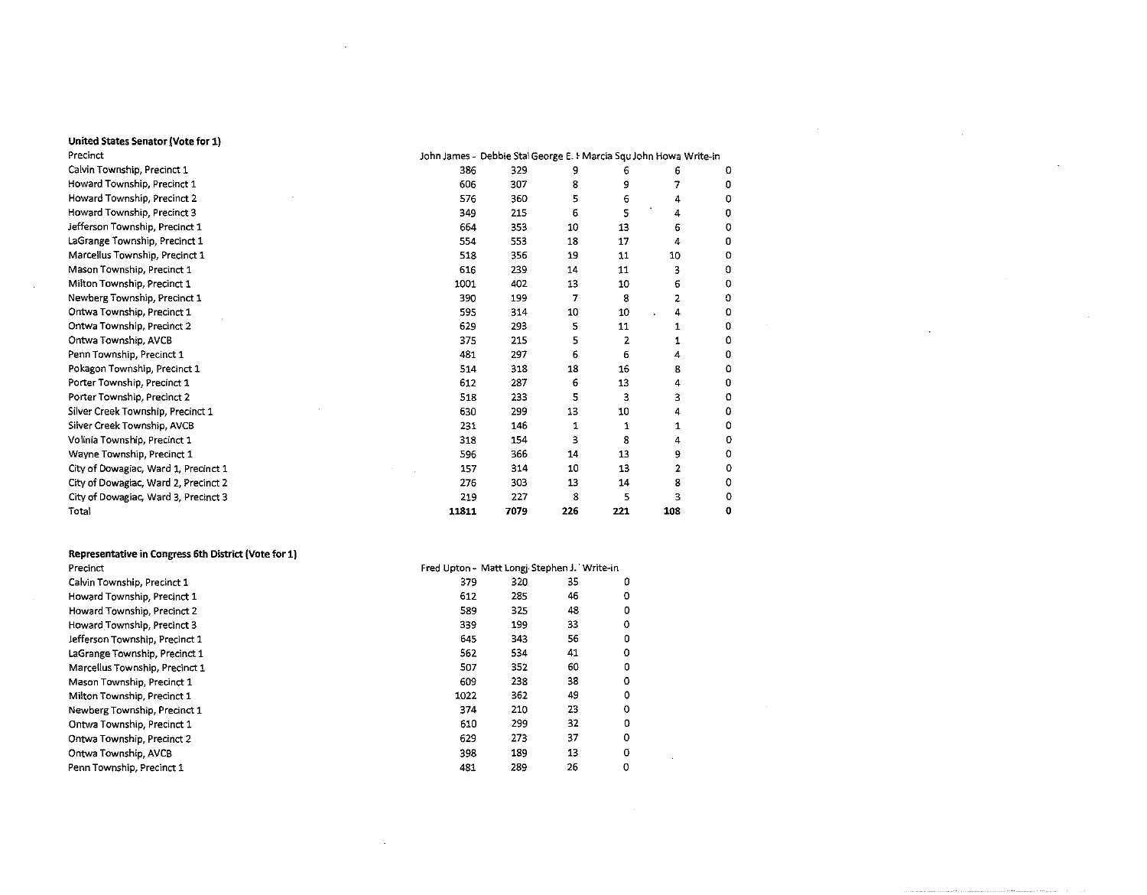# United States Senator (Vote for 1)

 $\sim$ 

| Precinct                             |       | John James - Debbie Stal George E. I Marcia Squ John Howa Write-in |     |     |     |   |
|--------------------------------------|-------|--------------------------------------------------------------------|-----|-----|-----|---|
| Calvin Township, Precinct 1          | 386   | 329                                                                |     | 6   | b   | 0 |
| Howard Township, Precinct 1          | 606   | 307                                                                | 8   | 9   |     | 0 |
| Howard Township, Precinct 2          | 576   | 360                                                                | 5   | 6   | 4   | ٥ |
| Howard Township, Precinct 3          | 349   | 215                                                                | 6   | 5   | 4   | o |
| Jefferson Township, Precinct 1       | 664   | 353                                                                | 10  | 13  | 6   | 0 |
| LaGrange Township, Precinct 1        | 554   | 553                                                                | 18  | 17  | 4   | O |
| Marcellus Township, Precinct 1       | 518   | 356                                                                | 19  | 11  | 10  | 0 |
| Mason Township, Precinct 1           | 616   | 239                                                                | 14  | 11  | 3   | n |
| Milton Township, Precinct 1          | 1001  | 402                                                                | 13  | 10  | 6   | 0 |
| Newberg Township, Precinct 1         | 390   | 199                                                                | 7   | 8   | 2   | 0 |
| Ontwa Township, Precinct 1           | 595   | 314                                                                | 10  | 10  | 4   | ٥ |
| Ontwa Township, Precinct 2           | 629   | 293                                                                | 5   | 11  |     | 0 |
| Ontwa Township, AVCB                 | 375   | 215                                                                | 5   | 2   |     | ٥ |
| Penn Township, Precinct 1            | 481   | 297                                                                | 6   | 6   | 4   | 0 |
| Pokagon Township, Precinct 1         | 514   | 318                                                                | 18  | 16  | 8   | 0 |
| Porter Township, Precinct 1          | 612   | 287                                                                | 6   | 13  | 4   | 0 |
| Porter Township, Precinct 2          | 518   | 233                                                                | 5   | 3   | 3   | 0 |
| Silver Creek Township, Precinct 1    | 630   | 299                                                                | 13  | 10  | 4   | 0 |
| Silver Creek Township, AVCB          | 231   | 146                                                                | 1   | 1   | 1   | 0 |
| Volinia Township, Precinct 1         | 318   | 154                                                                | 3   | 8   | 4   | 0 |
| Wayne Township, Precinct 1           | 596   | 366                                                                | 14  | 13  | 9   | 0 |
| City of Dowagiac, Ward 1, Precinct 1 | 157   | 314                                                                | 10  | 13  | 2   | 0 |
| City of Dowagiac, Ward 2, Precinct 2 | 276   | 303                                                                | 13  | 14  | 8   | 0 |
| City of Dowagiac, Ward 3, Precinct 3 | 219   | 227                                                                | 8   | 5   | ٦   | 0 |
| Total                                | 11811 | 7079                                                               | 226 | 221 | 108 | 0 |

 $\sim 10^{11}$  km  $^{-1}$ 

 $\sim$ 

 $\sim$ 

 $\sim 10$ 

 $\cdot$ 

 $\sim$ 

| Representative in Congress 6th District (Vote for 1) |                                             |     |    |   |
|------------------------------------------------------|---------------------------------------------|-----|----|---|
| Precinct                                             | Fred Upton - Matt Longj Stephen J. Write-in |     |    |   |
| Calvin Township, Precinct 1                          | 379                                         | 320 | 35 | 0 |
| Howard Township, Precinct 1                          | 612                                         | 285 | 46 | 0 |
| Howard Township, Precinct 2                          | 589                                         | 325 | 48 | 0 |
| Howard Township, Precinct 3                          | 339                                         | 199 | 33 | 0 |
| Jefferson Township, Precinct 1                       | 645                                         | 343 | 56 | 0 |
| LaGrange Township, Precinct 1                        | 562                                         | 534 | 41 | ٥ |
| Marcellus Township, Precinct 1                       | 507                                         | 352 | 60 | 0 |
| Mason Township, Precinct 1                           | 609                                         | 238 | 38 | ٥ |
| Milton Township, Precinct 1                          | 1022                                        | 362 | 49 | 0 |
| Newberg Township, Precinct 1                         | 374                                         | 210 | 23 | 0 |
| Ontwa Township, Precinct 1                           | 610                                         | 299 | 32 | 0 |
| Ontwa Township, Precinct 2                           | 629                                         | 273 | 37 | 0 |
| Ontwa Township, AVCB                                 | 398                                         | 189 | 13 | 0 |
| Penn Township, Precinct 1                            | 481                                         | 289 | 26 | 0 |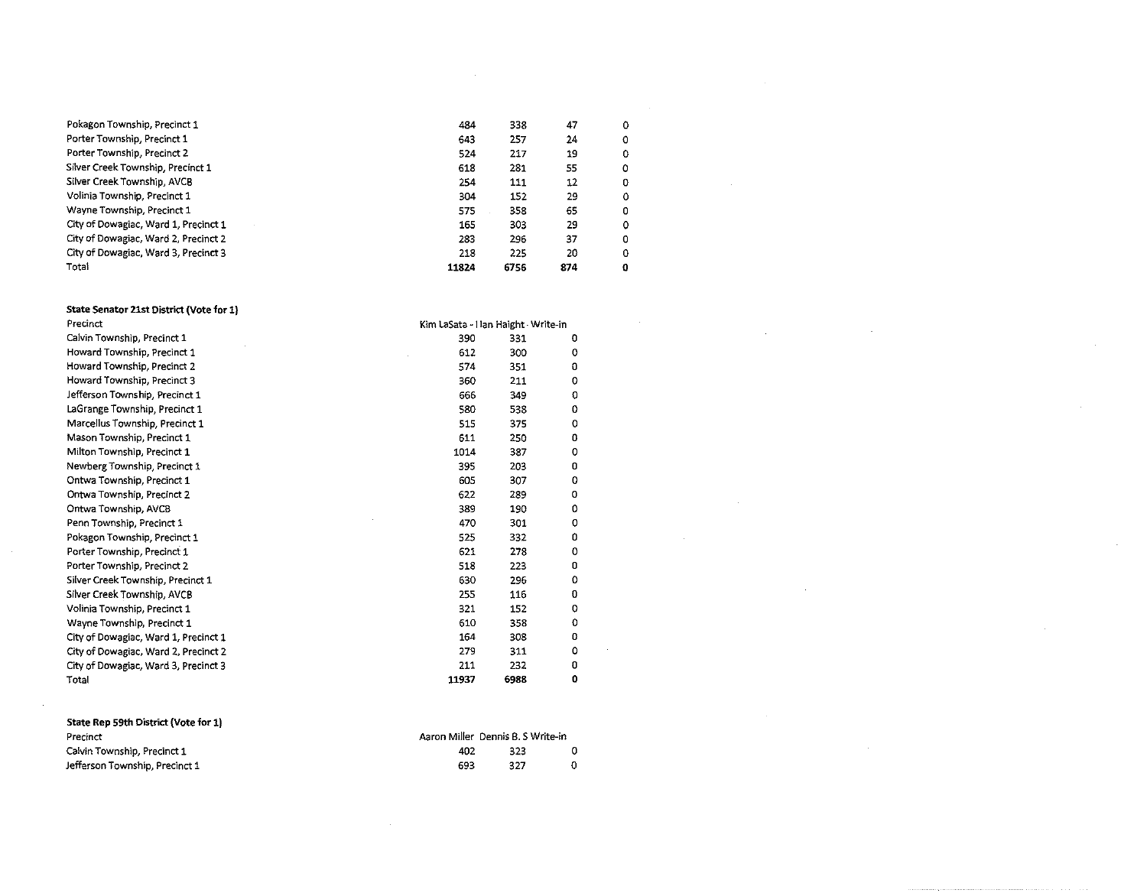| Pokagon Township, Precinct 1         | 484   | 338  | 47  | ٥ |
|--------------------------------------|-------|------|-----|---|
| Porter Township, Precinct 1          | 643   | 257  | 24  | o |
| Porter Township, Precinct 2          | 524   | 217  | 19  | ٥ |
| Silver Creek Township, Precinct 1    | 618   | 281  | 55  | ٥ |
| Silver Creek Township, AVCB          | 254   | 111  | 12  | 0 |
| Volinia Township, Precinct 1         | 304   | 152  | 29  | Ω |
| Wayne Township, Precinct 1           | 575   | 358  | 65  | 0 |
| City of Dowagiac, Ward 1, Precinct 1 | 165   | 303  | 29  | 0 |
| City of Dowagiac, Ward 2, Precinct 2 | 283   | 296  | 37  | o |
| City of Dowagiac, Ward 3, Precinct 3 | 218   | 225  | 20  | o |
| Total                                | 11824 | 6756 | 874 | Ω |

 $\sim$ 

 $\sim$ 

 $\sim$ 

# State Senator 21st District (Vote for 1)<br>Precinct

| Precinct                             | Kim LaSata - Han Haight - Write-in |      |   |  |  |  |  |
|--------------------------------------|------------------------------------|------|---|--|--|--|--|
| Calvin Township, Precinct 1          | 390                                | 331  | 0 |  |  |  |  |
| Howard Township, Precinct 1          | 612                                | 300  | 0 |  |  |  |  |
| Howard Township, Precinct 2          | 574                                | 351  | 0 |  |  |  |  |
| Howard Township, Precinct 3          | 360                                | 211  | 0 |  |  |  |  |
| Jefferson Township, Precinct 1       | 666                                | 349  | o |  |  |  |  |
| LaGrange Township, Precinct 1        | 580                                | 538  | 0 |  |  |  |  |
| Marcellus Township, Precinct 1       | 515                                | 375  | 0 |  |  |  |  |
| Mason Township, Precinct 1           | 611                                | 250  | 0 |  |  |  |  |
| Milton Township, Precinct 1          | 1014                               | 387  | 0 |  |  |  |  |
| Newberg Township, Precinct 1         | 395                                | 203  | O |  |  |  |  |
| Ontwa Township, Precinct 1           | 605                                | 307  | 0 |  |  |  |  |
| Ontwa Township, Precinct 2           | 622                                | 289  | o |  |  |  |  |
| Ontwa Township, AVCB                 | 389                                | 190  | 0 |  |  |  |  |
| Penn Township, Precinct 1            | 470                                | 301  | ٥ |  |  |  |  |
| Pokagon Township, Precinct 1         | 525                                | 332  | 0 |  |  |  |  |
| Porter Township, Precinct 1          | 621                                | 278  | 0 |  |  |  |  |
| Porter Township, Precinct 2          | 518                                | 223  | 0 |  |  |  |  |
| Silver Creek Township, Precinct 1    | 630                                | 296  | 0 |  |  |  |  |
| Silver Creek Township, AVCB          | 255                                | 116  | 0 |  |  |  |  |
| Volinia Township, Precinct 1         | 321                                | 152  | 0 |  |  |  |  |
| Wayne Township, Precinct 1           | 610                                | 358  | 0 |  |  |  |  |
| City of Dowagiac, Ward 1, Precinct 1 | 164                                | 308  | 0 |  |  |  |  |
| City of Dowagiac, Ward 2, Precinct 2 | 279                                | 311  | ٥ |  |  |  |  |
| City of Dowagiac, Ward 3, Precinct 3 | 211                                | 232  | o |  |  |  |  |
| Total                                | 11937                              | 6988 | 0 |  |  |  |  |

| State Rep 59th District (Vote for 1) |     |                                   |  |
|--------------------------------------|-----|-----------------------------------|--|
| Precinct                             |     | Aaron Miller Dennis B. S Write-in |  |
| Calvin Township, Precinct 1          | 402 | 323                               |  |
| Jefferson Township, Precinct 1       | 693 | 327                               |  |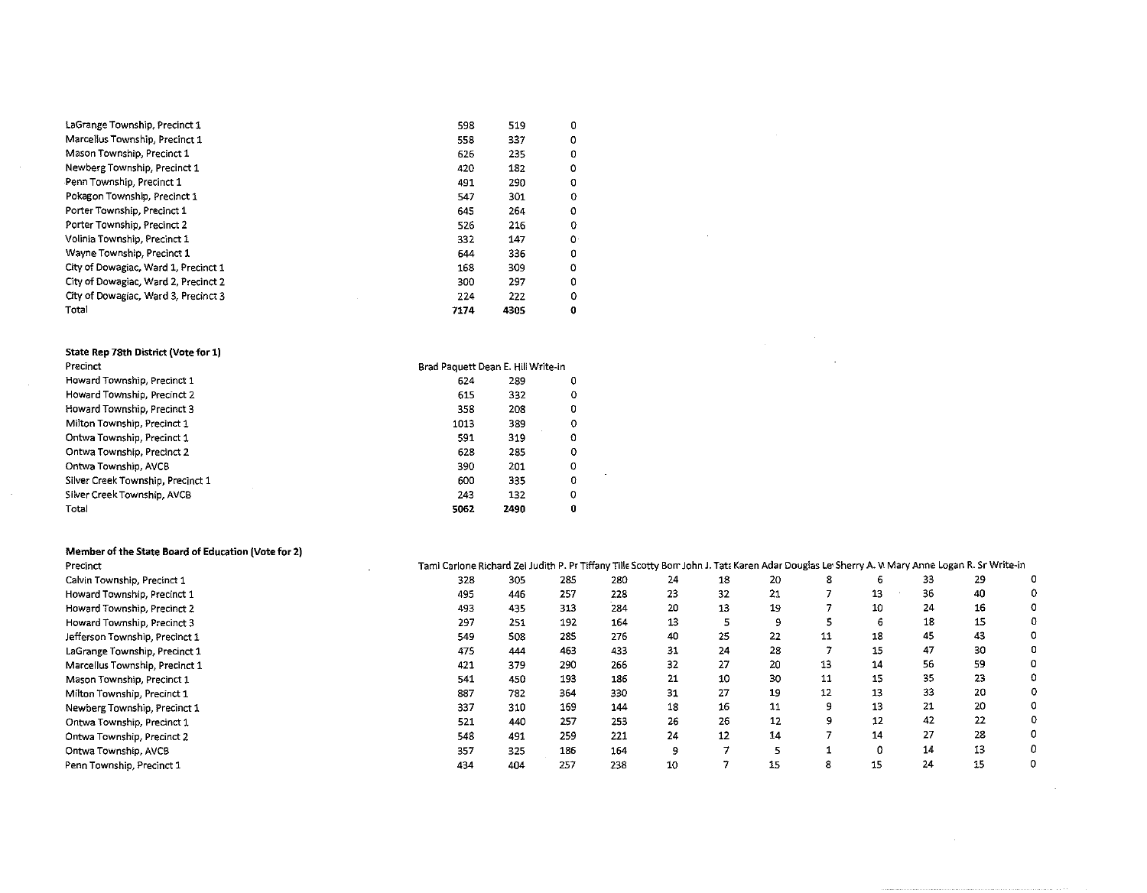| LaGrange Township, Precinct 1        | 598  | 519  | 0 |
|--------------------------------------|------|------|---|
| Marcellus Township, Precinct 1       | 558  | 337  | 0 |
| Mason Township, Precinct 1           | 626  | 235  | 0 |
| Newberg Township, Precinct 1         | 420  | 182  | 0 |
| Penn Township, Precinct 1            | 491  | 290  | 0 |
| Pokagon Township, Precinct 1         | 547  | 301  | 0 |
| Porter Township, Precinct 1          | 645  | 264  | 0 |
| Porter Township, Precinct 2          | 526  | 216  | 0 |
| Volinia Township, Precinct 1         | 332  | 147  | 0 |
| Wayne Township, Precinct 1           | 644  | 336  | 0 |
| City of Dowagiac, Ward 1, Precinct 1 | 168  | 309  | 0 |
| City of Dowagiac, Ward 2, Precinct 2 | 300  | 297  | 0 |
| City of Dowagiac, Ward 3, Precinct 3 | 224  | 222  | o |
| Total                                | 7174 | 4305 | O |

#### State Rep 78th District (Vote for 1) Precinct

 $\sim$ 

 $\sim 10^{-1}$ 

 $\mathcal{L}^{\pm}$ 

| Precinct                          | Brad Paquett Dean E. Hill Write-in |      |   |  |  |  |
|-----------------------------------|------------------------------------|------|---|--|--|--|
| Howard Township, Precinct 1       | 624                                | 289  | 0 |  |  |  |
| Howard Township, Precinct 2       | 615                                | 332  | ο |  |  |  |
| Howard Township, Precinct 3       | 358                                | 208  | 0 |  |  |  |
| Milton Township, Precinct 1       | 1013                               | 389  | ٥ |  |  |  |
| Ontwa Township, Precinct 1        | 591                                | 319  | o |  |  |  |
| Ontwa Township, Precinct 2        | 628                                | 285  | ٥ |  |  |  |
| Ontwa Township, AVCB              | 390                                | 201  | ο |  |  |  |
| Silver Creek Township, Precinct 1 | 600                                | 335  | Ω |  |  |  |
| Silver Creek Township, AVCB       | 243                                | 132  | Ω |  |  |  |
| Total                             | 5062                               | 2490 | 0 |  |  |  |

#### Member of the State Board of Education (Vote for 2)

| Precinct                       | Tami Carlone Richard Zei Judith P. Pr Tiffany Tille Scotty Bom John J. Tata Karen Adar Douglas Le' Sherry A. W Mary Anne Logan R. Sr Write-in |     |     |     |    |    |    |    |    |    |    |   |
|--------------------------------|-----------------------------------------------------------------------------------------------------------------------------------------------|-----|-----|-----|----|----|----|----|----|----|----|---|
| Calvin Township, Precinct 1    | 328                                                                                                                                           | 305 | 285 | 280 | 24 | 18 | 20 |    | 6  | 33 | 29 |   |
| Howard Township, Precinct 1    | 495                                                                                                                                           | 446 | 257 | 228 | 23 | 32 | 21 |    | 13 | 36 | 40 |   |
| Howard Township, Precinct 2    | 493                                                                                                                                           | 435 | 313 | 284 | 20 | 13 | 19 |    | 10 | 24 | 16 |   |
| Howard Township, Precinct 3    | 297                                                                                                                                           | 251 | 192 | 164 | 13 |    |    |    | b  | 18 | 15 |   |
| Jefferson Township, Precinct 1 | 549                                                                                                                                           | 508 | 285 | 276 | 40 | 25 | 22 | 11 | 18 | 45 | 43 |   |
| LaGrange Township, Precinct 1  | 475                                                                                                                                           | 444 | 463 | 433 | 31 | 24 | 28 |    | 15 | 47 | 30 |   |
| Marcellus Township, Precinct 1 | 421                                                                                                                                           | 379 | 290 | 266 | 32 | 27 | 20 | 13 | 14 | 56 | 59 | ٥ |
| Mason Township, Precinct 1     | 541                                                                                                                                           | 450 | 193 | 186 | 21 | 10 | 30 | 11 | 15 | 35 | 23 |   |
| Milton Township, Precinct 1    | 887                                                                                                                                           | 782 | 364 | 330 | 31 | 27 | 19 | 12 | 13 | 33 | 20 |   |
| Newberg Township, Precinct 1   | 337                                                                                                                                           | 310 | 169 | 144 | 18 | 16 | 11 | ٩  | 13 | 21 | 20 |   |
| Ontwa Township, Precinct 1     | 521                                                                                                                                           | 440 | 257 | 253 | 26 | 26 | 12 | q  | 12 | 42 | 22 |   |
| Ontwa Township, Precinct 2     | 548                                                                                                                                           | 491 | 259 | 221 | 24 | 12 | 14 |    | 14 | 27 | 28 |   |
| Ontwa Township, AVCB           | 357                                                                                                                                           | 325 | 186 | 164 | ۹  |    |    |    | 0  | 14 | 13 | 0 |
| Penn Township, Precinct 1      | 434                                                                                                                                           | 404 | 257 | 238 | 10 |    | 15 | 8  | 15 | 24 | 15 | 0 |

 $\sim 10^7$ 

 $\sim 10^{-1}$ 

 $\label{eq:2.1} \frac{1}{\sqrt{2\pi}}\frac{1}{\sqrt{2\pi}}\frac{1}{\sqrt{2\pi}}\frac{1}{\sqrt{2\pi}}\frac{1}{\sqrt{2\pi}}\frac{1}{\sqrt{2\pi}}\frac{1}{\sqrt{2\pi}}\frac{1}{\sqrt{2\pi}}\frac{1}{\sqrt{2\pi}}\frac{1}{\sqrt{2\pi}}\frac{1}{\sqrt{2\pi}}\frac{1}{\sqrt{2\pi}}\frac{1}{\sqrt{2\pi}}\frac{1}{\sqrt{2\pi}}\frac{1}{\sqrt{2\pi}}\frac{1}{\sqrt{2\pi}}\frac{1}{\sqrt{2\pi}}\frac{1}{\sqrt$ 

 $\sim 10^7$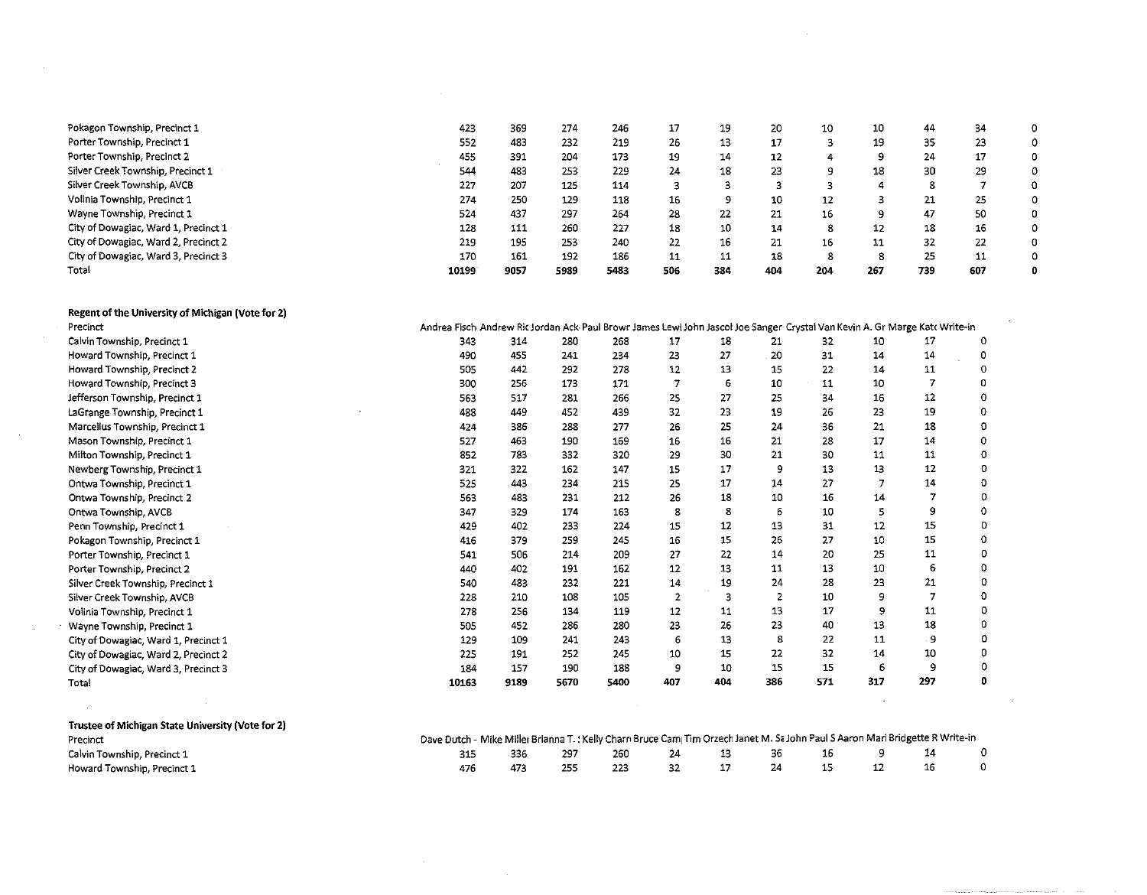| Pokagon Township, Precinct 1         | 423   | 369  | 274  | 246  | 17  | 19  | 20  | 10  | 10      | 44  | 34  | 0 |
|--------------------------------------|-------|------|------|------|-----|-----|-----|-----|---------|-----|-----|---|
| Porter Township, Precinct 1          | 552   | 483  | 232  | 219  | 26  | 13  | 17  |     | 19      | -35 | 23  | 0 |
| Porter Township, Precinct 2          | 455   | 391  | 204  | 173  | 19  | 14  | 12  |     | 9       | 24  | 17  |   |
| Silver Creek Township, Precinct 1    | 544   | 483  | 253  | 229  | 24  | 18  | 23  | 9   | 18      | 30  | 29  | 0 |
| Silver Creek Township, AVCB          | 227   | 207  | 125  | 114  |     |     |     |     | 4       | 8   |     | O |
| Volinia Township, Precinct 1         | 274   | 250  | 129  | 118  | 16  |     | 10  | 12  |         | 21  | 25  | 0 |
| Wayne Township, Precinct 1           | 524   | 437  | 297  | 264  | 28  | 22  | 21  | 16  | $\circ$ | 47  | 50  |   |
| City of Dowagiac, Ward 1, Precinct 1 | 128   | 111  | 260  | 227  | 18  | 10  | 14  | 8   | 12      | 18  | 16  | 0 |
| City of Dowagiac, Ward 2, Precinct 2 | 219   | 195  | 253  | 240  | 22  | 16  | 21  | 16  | 11      | 32  | 22  | o |
| City of Dowagiac, Ward 3, Precinct 3 | 170   | 161  | 192  | 186  | 11  | 11  | 18  | 8   | 8       | 25  | 11  |   |
| Total                                | 10199 | 9057 | 5989 | 5483 | 506 | 384 | 404 | 204 | 267     | 739 | 607 | 0 |

| Regent of the University of Michigan (Vote for 2) |                                                                                                                             |      |      |      |                |     |     |     |     |     |   |
|---------------------------------------------------|-----------------------------------------------------------------------------------------------------------------------------|------|------|------|----------------|-----|-----|-----|-----|-----|---|
| Precinct                                          | Andrea Fisch Andrew Ric Jordan Ack Paul Browr James Lewi John Jascol Joe Sanger Crystal Van Kevin A. Gr Marge Katt Write-in |      |      |      |                |     |     |     |     |     |   |
| Calvin Township, Precinct 1                       | 343                                                                                                                         | 314  | 280  | 268  | 17             | 18  | 21  | 32  | 10  | 17  | 0 |
| Howard Township, Precinct 1                       | 490                                                                                                                         | 455  | 241  | 234  | 23             | 27  | 20  | 31  | 14  | 14  | 0 |
| Howard Township, Precinct 2                       | 505                                                                                                                         | 442  | 292  | 278  | 12             | 13  | 15  | 22  | 14  | 11  | 0 |
| Howard Township, Precinct 3                       | 300                                                                                                                         | 256  | 173  | 171  |                | 6   | 10  | 11  | 10  |     | n |
| Jefferson Township, Precinct 1                    | 563                                                                                                                         | 517  | 281  | 256  | 25             | 27  | 25  | 34  | 16  | 12  |   |
| LaGrange Township, Precinct 1                     | 488                                                                                                                         | 449  | 452  | 439  | 32             | 23  | 19  | 26  | 23  | 19  |   |
| Marcellus Township, Precinct 1                    | 424                                                                                                                         | 386  | 288  | 277  | 26             | 25  | 24  | 36  | 21  | 18  | ٥ |
| Mason Township, Precinct 1                        | 527                                                                                                                         | 463  | 190  | 169  | 16             | 16  | 21  | 28  | 17  | 14  | ٥ |
| Milton Township, Precinct 1                       | 852                                                                                                                         | 783  | 332  | 320  | 29             | 30  | 21  | 30  | 11  | 11  | 0 |
| Newberg Township, Precinct 1                      | 321                                                                                                                         | 322  | 162  | 147  | 15             | 17  | 9   | 13  | 13  | 12  | 0 |
| Ontwa Township, Precinct 1                        | 525                                                                                                                         | 443  | 234  | 215  | 25             | 17  | 14  | 27  |     | 14  | o |
| Ontwa Township, Precinct 2                        | 563                                                                                                                         | 483  | 231  | 212  | 26             | 18  | 10  | 16  | 14  |     | 0 |
| Ontwa Township, AVCB                              | 347                                                                                                                         | 329  | 174  | 163  | 8              | 8   | 6   | 10  | 5.  | 9   | ٥ |
| Penn Township, Precinct 1                         | 429                                                                                                                         | 402  | 233  | 224  | 15             | 12  | 13  | 31  | 12  | 15  | 0 |
| Pokagon Township, Precinct 1                      | 416                                                                                                                         | 379  | 259  | 245  | 16             | 15  | 26  | 27  | 10  | 15  | 0 |
| Porter Township, Precinct 1                       | 541                                                                                                                         | 506  | 214  | 209  | 27             | 22  | 14  | 20  | 25  | 11  | 0 |
| Porter Township, Precinct 2                       | 440                                                                                                                         | 402  | 191  | 152  | 12             | 13  | 11  | 13  | 10  | 6   |   |
| Silver Creek Township, Precinct 1                 | 540                                                                                                                         | 483  | 232  | 221  | 14             | 19  | 24  | 28  | 23  | 21  | o |
| Silver Creek Township, AVCB                       | 228                                                                                                                         | 210  | 108  | 105  | $\overline{2}$ | 3   |     | 10  | 9   |     | ٥ |
| Volinia Township, Precinct 1                      | 278                                                                                                                         | 256  | 134  | 119  | 12             | 11  | 13  | 17  | 9   | 11  | 0 |
| Wayne Township, Precinct 1                        | 505                                                                                                                         | 452  | 286  | 280  | 23             | 26  | 23  | 40  | 13  | 18  | 0 |
| City of Dowagiac, Ward 1, Precinct 1              | 129                                                                                                                         | 109  | 241  | 243  | 6              | -13 | 8   | 22  | 11  | 9   | 0 |
| City of Dowagiac, Ward 2, Precinct 2              | 225                                                                                                                         | 191  | 252  | 245  | 10             | 15  | 22  | 32  | 14  | 10  | 0 |
| City of Dowagiac, Ward 3, Precinct 3              | 184                                                                                                                         | 157  | 190  | 188  | 9              | 10  | 15  | 15  | 6   | 9   | 0 |
| Total                                             | 10163                                                                                                                       | 9189 | 5670 | 5400 | 407            | 404 | 386 | 571 | 317 | 297 | o |
|                                                   |                                                                                                                             |      |      |      |                |     |     |     |     |     |   |

 $\sim$ 

 $\sim 10^7$ 

| Trustee of Michigan State University (Vote for 2) |                                                                                                                               |     |     |     |    |    |    |     |  |
|---------------------------------------------------|-------------------------------------------------------------------------------------------------------------------------------|-----|-----|-----|----|----|----|-----|--|
| Precinct                                          | Dave Dutch - Mike Miller Brianna T. (Kelly Charn Bruce Cam Tim Orzech Janet M. Sa John Paul S Aaron Mari Bridgette R Write-in |     |     |     |    |    |    |     |  |
| Calvin Township, Precinct 1                       | 315                                                                                                                           | 336 | 297 | 260 | 24 | 36 | 16 |     |  |
| Howard Township, Precinct 1                       |                                                                                                                               |     |     |     |    |    |    | -16 |  |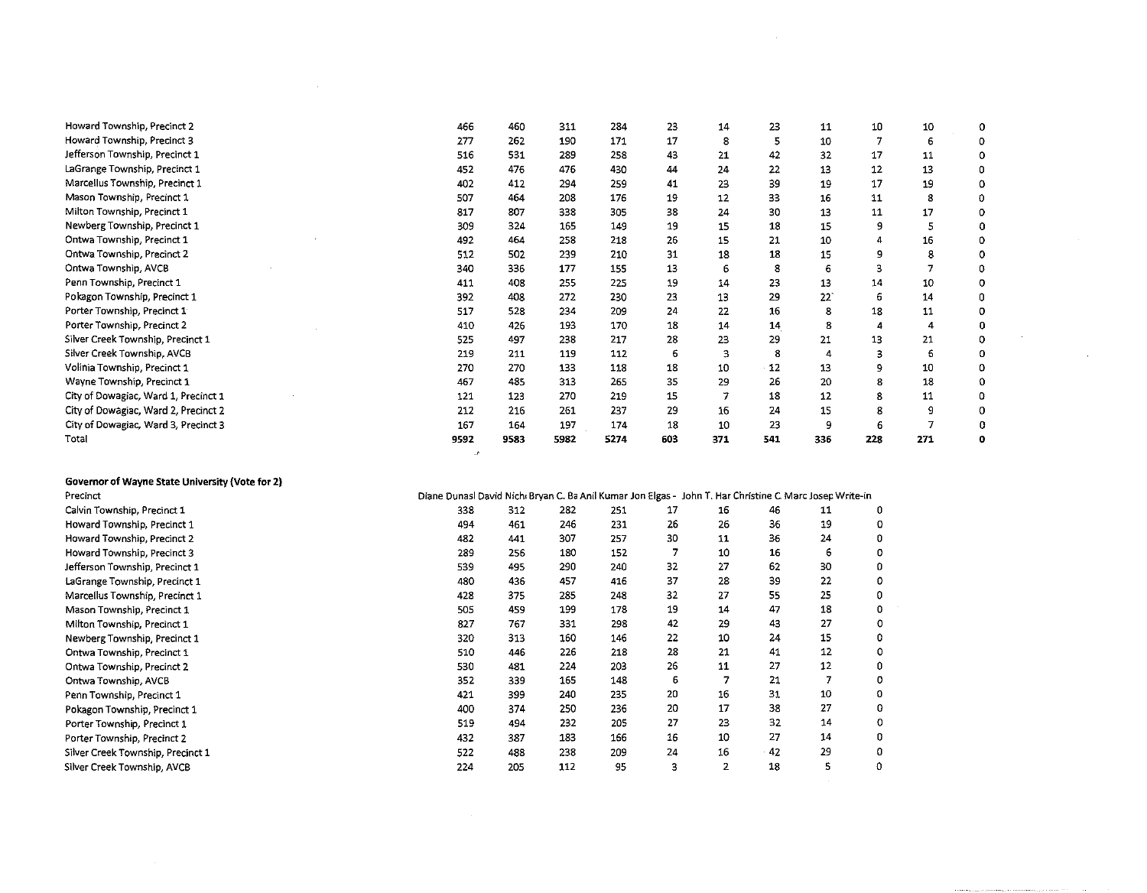| Howard Township, Precinct 2          | 466     | 460             | 311  | 284  | 23  | 14  | 23  | 11  | 10  | 10  | 0 |
|--------------------------------------|---------|-----------------|------|------|-----|-----|-----|-----|-----|-----|---|
| Howard Township, Precinct 3          | 277     | 262             | 190  | 171  | 17  | 8   | 5   | 10  |     | 6   |   |
| Jefferson Township, Precinct 1       | 516     | 531             | 289  | 258  | 43  | 21  | 42  | 32  | 17  | 11  |   |
| LaGrange Township, Precinct 1        | 452     | 476             | 476  | 430  | 44  | 24  | 22  | 13  | 12  | 13  |   |
| Marcellus Township, Precinct 1       | 402     | 412             | 294  | 259  | 41  | 23  | 39  | 19  | 17  | 19  |   |
| Mason Township, Precinct 1           | 507     | 464             | 208  | 176  | 19  | 12  | 33  | 16  | 11  | 8   |   |
| Milton Township, Precinct 1          | 817     | 807             | 338  | 305  | 38  | 24  | 30  | 13  | 11  | 17  |   |
| Newberg Township, Precinct 1         | 309     | 324             | 165  | 149  | 19  | 15  | 18  | 15  |     | 5   |   |
| Ontwa Township, Precinct 1           | 492     | 464             | 258  | 218  | 26  | 15  | 21  | 10  |     | 16  | 0 |
| Ontwa Township, Precinct 2           | 512     | 502             | 239  | 210  | 31  | 18  | 18  | 15  |     | 8   |   |
| Ontwa Township, AVCB                 | 340     | 336             | 177  | 155  | 13  |     | 8   |     |     |     |   |
| Penn Township, Precinct 1            | 411     | 408             | 255  | 225  | 19  | 14  | 23  | 13  | 14  | 10  |   |
| Pokagon Township, Precinct 1         | 392     | 408             | 272  | 230  | 23  | 13  | 29  | 22  | 6   | 14  |   |
| Porter Township, Precinct 1          | 517     | 528             | 234  | 209  | 24  | 22  | 16  | 8   | 18  | 11  |   |
| Porter Township, Precinct 2          | 410     | 426             | 193  | 170  | 18  | 14  | 14  | 8   |     |     |   |
| Silver Creek Township, Precinct 1    | 525     | 497             | 238  | 217  | 28  | 23  | 29  | 21  | 13  | 21  |   |
| Silver Creek Township, AVCB          | 219     | 211             | 119  | 112  | 6   |     | 8   |     |     | 6   |   |
| Volinia Township, Precinct 1         | 270     | 270             | 133  | 118  | 18  | 10  | 12  | 13  | ۹   | 10  |   |
| Wayne Township, Precinct 1           | 467     | 485             | 313  | 265  | 35  | 29  | 26  | 20  |     | 18  |   |
| City of Dowagiac, Ward 1, Precinct 1 | 121     | 12 <sub>5</sub> | 270  | 219  | 15  |     | 18  | 12  |     | 11  |   |
| City of Dowagiac, Ward 2, Precinct 2 | 212     | 216             | 261  | 237  | 29  | 16  | 24  | 15  | 8   | 9   |   |
| City of Dowagiac, Ward 3, Precinct 3 | 167     | 164             | 197  | 174  | 18  | 10  | 23  |     |     |     | 0 |
| Total                                | 9592    | 9583            | 5982 | 5274 | 603 | 371 | 541 | 336 | 228 | 271 | 0 |
|                                      | $\cdot$ |                 |      |      |     |     |     |     |     |     |   |

 $\sim$   $\sim$ 

| Governor of Wayne State University (Vote for 2) |                                                                                                         |     |     |     |    |                |    |    |   |
|-------------------------------------------------|---------------------------------------------------------------------------------------------------------|-----|-----|-----|----|----------------|----|----|---|
| Precinct                                        | Diane Dunasl David Nich Bryan C. Ba Anil Kumar Jon Elgas - John T. Har Christine C. Marc Josep Write-in |     |     |     |    |                |    |    |   |
| Calvin Township, Precinct 1                     | 338                                                                                                     | 312 | 282 | 251 | 17 | 16             | 46 | 11 | 0 |
| Howard Township, Precinct 1                     | 494                                                                                                     | 461 | 246 | 231 | 26 | 26             | 36 | 19 |   |
| Howard Township, Precinct 2                     | 482                                                                                                     | 441 | 307 | 257 | 30 | 11             | 36 | 24 |   |
| Howard Township, Precinct 3                     | 289                                                                                                     | 256 | 180 | 152 | 7  | 10             | 16 | 6  |   |
| Jefferson Township, Precinct 1                  | 539                                                                                                     | 495 | 290 | 240 | 32 | 27             | 62 | 30 |   |
| LaGrange Township, Precinct 1                   | 480                                                                                                     | 436 | 457 | 416 | 37 | 28             | 39 | 22 |   |
| Marcellus Township, Precinct 1                  | 428                                                                                                     | 375 | 285 | 248 | 32 | 27             | 55 | 25 |   |
| Mason Township, Precinct 1                      | 505                                                                                                     | 459 | 199 | 178 | 19 | 14             | 47 | 18 |   |
| Milton Township, Precinct 1                     | 827                                                                                                     | 767 | 331 | 298 | 42 | 29             | 43 | 27 |   |
| Newberg Township, Precinct 1                    | 320                                                                                                     | 313 | 160 | 146 | 22 | 10             | 24 | 15 |   |
| Ontwa Township, Precinct 1                      | 510                                                                                                     | 446 | 226 | 218 | 28 | 21             | 41 | 12 |   |
| Ontwa Township, Precinct 2                      | 530                                                                                                     | 481 | 224 | 203 | 26 | 11             | 27 | 12 |   |
| Ontwa Township, AVCB                            | 352                                                                                                     | 339 | 165 | 148 | 6  | $\overline{7}$ | 21 |    |   |
| Penn Township, Precinct 1                       | 421                                                                                                     | 399 | 240 | 235 | 20 | 16             | 31 | 10 |   |
| Pokagon Township, Precinct 1                    | 400                                                                                                     | 374 | 250 | 236 | 20 | 17             | 38 | 27 |   |
| Porter Township, Precinct 1                     | 519                                                                                                     | 494 | 232 | 205 | 27 | 23             | 32 | 14 |   |
| Porter Township, Precinct 2                     | 432                                                                                                     | 387 | 183 | 166 | 16 | 10             | 27 | 14 |   |
| Silver Creek Township, Precinct 1               | 522                                                                                                     | 488 | 238 | 209 | 24 | 16             | 42 | 29 |   |
| Silver Creek Township, AVCB                     | 224                                                                                                     | 205 | 112 | 95  | 3  | $\overline{2}$ | 18 | 5  |   |

 $\label{eq:2.1} \mathcal{L}(\mathcal{L}^{\text{max}}_{\mathcal{L}}(\mathcal{L}^{\text{max}}_{\mathcal{L}}),\mathcal{L}^{\text{max}}_{\mathcal{L}}(\mathcal{L}^{\text{max}}_{\mathcal{L}}))$ 

 $\sim 10^{11}$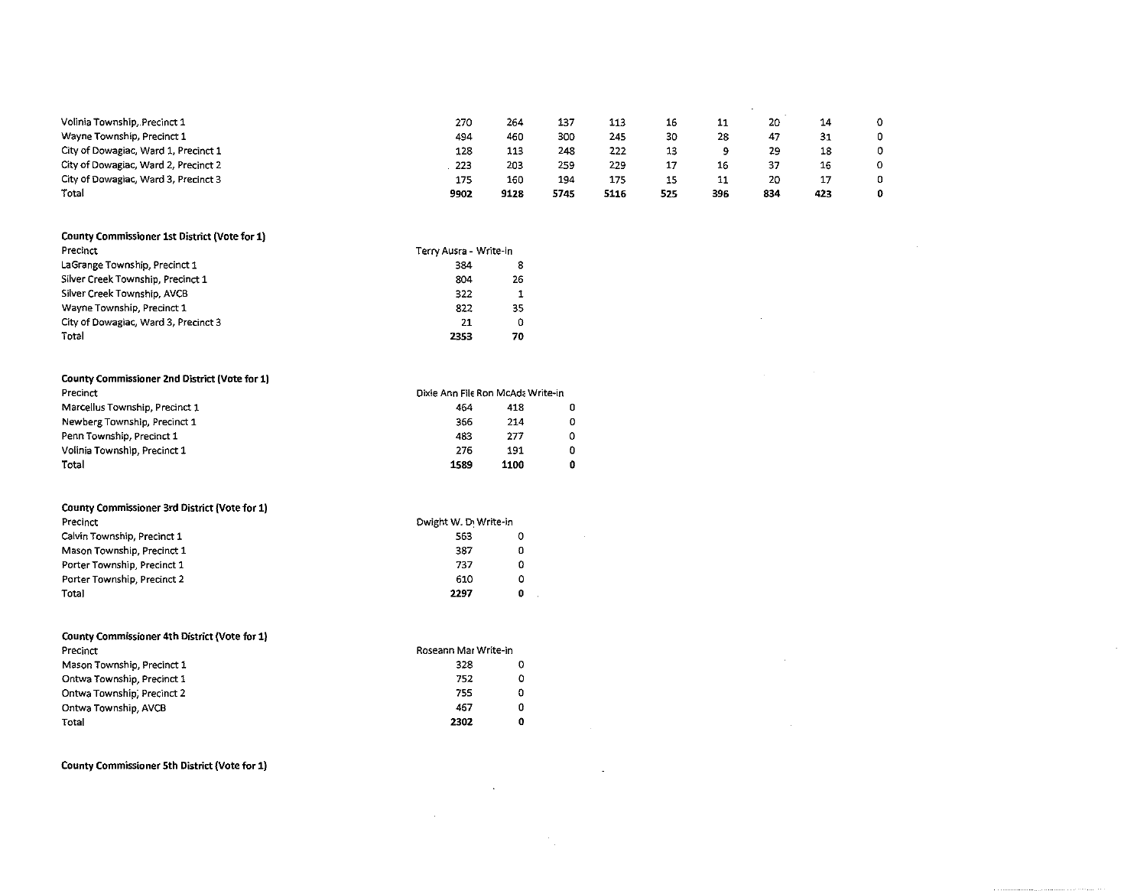| Volinia Township, Precinct 1         | 27C  | 264  | 137  | 113  | 16  | 11  | 20  | 14  |   |
|--------------------------------------|------|------|------|------|-----|-----|-----|-----|---|
| Wayne Township, Precinct 1           | 494  | 460  | 300  | 245  | 30  | 28  | 47  | -31 | n |
| City of Dowagiac, Ward 1, Precinct 1 | 128  | 113  | 248  | 222  | 13  |     | 29  | 18  | Ω |
| City of Dowagiac, Ward 2, Precinct 2 | 223  | 203  | 259  | 229  | 17  | 16  |     | 16  |   |
| City of Dowagiac, Ward 3, Precinct 3 | 175  | 160  | 194  | 175  | 15  | 11  | 20  | 17  | 0 |
| Total                                | 9902 | 9128 | 5745 | 5116 | 525 | 396 | 834 | 423 |   |

 $\sim 10^{-10}$  m  $^{-1}$ 

 $\sim 10^{-11}$ 

 $\mathcal{L}_{\text{max}}$  and  $\mathcal{L}_{\text{max}}$  . The set of  $\mathcal{L}_{\text{max}}$ 

 $\sim 10^{11}$  km s  $^{-1}$ 

 $\mathcal{L}_{\mathcal{A}}$  and  $\mathcal{L}_{\mathcal{A}}$  are the set of the set of the set of the set of the set of the set of the set of the set of the set of the set of the set of the set of the set of the set of the set of the set of the set

 $\mathcal{L}^{\text{max}}_{\text{max}}$  and  $\mathcal{L}^{\text{max}}_{\text{max}}$ 

 $\label{eq:2} \frac{1}{2} \sum_{i=1}^n \frac{1}{2} \sum_{j=1}^n \frac{1}{2} \sum_{j=1}^n \frac{1}{2} \sum_{j=1}^n \frac{1}{2} \sum_{j=1}^n \frac{1}{2} \sum_{j=1}^n \frac{1}{2} \sum_{j=1}^n \frac{1}{2} \sum_{j=1}^n \frac{1}{2} \sum_{j=1}^n \frac{1}{2} \sum_{j=1}^n \frac{1}{2} \sum_{j=1}^n \frac{1}{2} \sum_{j=1}^n \frac{1}{2} \sum_{j=1}^n \frac{1}{$ 

 $\mathcal{F}_{\mathcal{G}}$ 

 $\sim 10^{11}$  km s  $^{-1}$ 

 $\sim$ 

| County Commissioner 1st District (Vote for 1) |                        |    |  |  |  |
|-----------------------------------------------|------------------------|----|--|--|--|
| Precinct                                      | Terry Ausra - Write-in |    |  |  |  |
| LaGrange Township, Precinct 1                 | 384                    | 8  |  |  |  |
| Silver Creek Township, Precinct 1             | 804                    | 26 |  |  |  |
| Silver Creek Township, AVCB                   | 322                    |    |  |  |  |
| Wayne Township, Precinct 1                    | 822                    | 35 |  |  |  |
| City of Dowagiac, Ward 3, Precinct 3          | 21                     | 0  |  |  |  |
| Total                                         | 2353                   | 70 |  |  |  |

| County Commissioner 2nd District (Vote for 1) |                                   |      |   |  |  |  |  |  |
|-----------------------------------------------|-----------------------------------|------|---|--|--|--|--|--|
| Precinct                                      | Dixie Ann File Ron McAda Write-in |      |   |  |  |  |  |  |
| Marcellus Township, Precinct 1                | 464                               | 418  |   |  |  |  |  |  |
| Newberg Township, Precinct 1                  | 366                               | 214  | ο |  |  |  |  |  |
| Penn Township, Precinct 1                     | 483                               | 277  | 0 |  |  |  |  |  |
| Volinia Township, Precinct 1                  | 276                               | 191  | 0 |  |  |  |  |  |
| Total                                         | 1589                              | 1100 | 0 |  |  |  |  |  |

| County Commissioner 3rd District (Vote for 1) |                       |   |  |  |  |  |  |
|-----------------------------------------------|-----------------------|---|--|--|--|--|--|
| Precinct                                      | Dwight W. D. Write-in |   |  |  |  |  |  |
| Calvin Township, Precinct 1                   | 563                   | 0 |  |  |  |  |  |
| Mason Township, Precinct 1                    | 387                   | 0 |  |  |  |  |  |
| Porter Township, Precinct 1                   | 737                   | 0 |  |  |  |  |  |
| Porter Township, Precinct 2                   | 610                   | ٥ |  |  |  |  |  |
| Total                                         | 2297                  | O |  |  |  |  |  |

| County Commissioner 4th District (Vote for 1) |                      |   |  |  |  |  |
|-----------------------------------------------|----------------------|---|--|--|--|--|
| Precinct                                      | Roseann Mar Write-in |   |  |  |  |  |
| Mason Township, Precinct 1                    | 328                  | Ω |  |  |  |  |
| Ontwa Township, Precinct 1                    | 752                  | 0 |  |  |  |  |
| Ontwa Township, Precinct 2                    | 755                  | 0 |  |  |  |  |
| Ontwa Township, AVCB                          | 467                  | 0 |  |  |  |  |
| Total                                         | 2302                 | 0 |  |  |  |  |

**County Commissioner 5th District (Vote for 1)**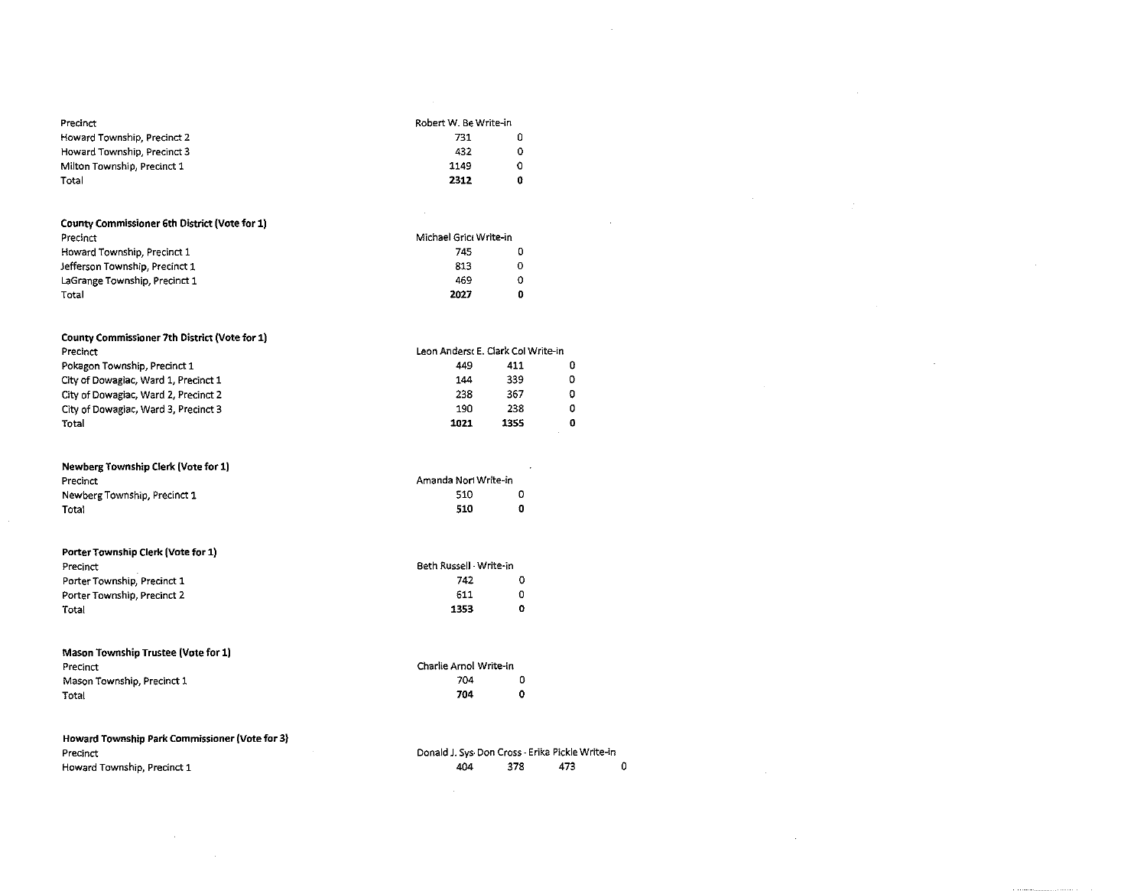| Precinct                                       | Robert W. Be Write-in                           |             |     |
|------------------------------------------------|-------------------------------------------------|-------------|-----|
| Howard Township, Precinct 2                    | 731                                             | 0           |     |
| Howard Township, Precinct 3                    | 432                                             | ٥           |     |
| Milton Township, Precinct 1                    | 1149                                            | 0           |     |
| Total                                          | 2312                                            | û           |     |
|                                                |                                                 |             |     |
| County Commissioner 6th District (Vote for 1)  |                                                 |             |     |
| Precinct                                       | Michael Grict Write-in                          |             |     |
| Howard Township, Precinct 1                    | 745                                             | 0           |     |
| Jefferson Township, Precinct 1                 | 813                                             | 0           |     |
| LaGrange Township, Precinct 1                  | 469                                             | 0           |     |
| Total                                          | 2027                                            | 0           |     |
| County Commissioner 7th District (Vote for 1)  |                                                 |             |     |
| Precinct                                       | Leon Anderst E. Clark Col Write-in              |             |     |
| Pokagon Township, Precinct 1                   | 449                                             | 411         | 0   |
| City of Dowagiac, Ward 1, Precinct 1           | 144                                             | 339         | 0   |
| City of Dowagiac, Ward 2, Precinct 2           | 238                                             | 367         | o   |
| City of Dowagiac, Ward 3, Precinct 3           | 190                                             | 238         | 0   |
| Total                                          | 1021                                            | 1355        | 0   |
| <b>Newberg Township Clerk (Vote for 1)</b>     |                                                 |             |     |
| Precinct                                       | Amanda Nori Write-in                            |             |     |
| Newberg Township, Precinct 1                   | 510                                             | ٥           |     |
| Total                                          | 510                                             | $\mathbf 0$ |     |
|                                                |                                                 |             |     |
| Porter Township Clerk (Vote for 1)             | Beth Russell - Write-in                         |             |     |
| Precinct                                       | 742                                             | o           |     |
| Porter Township, Precinct 1                    |                                                 | O           |     |
| Porter Township, Precinct 2                    | 611<br>1353                                     | o           |     |
| Total                                          |                                                 |             |     |
| Mason Township Trustee (Vote for 1)            |                                                 |             |     |
| Precinct                                       | Charlie Arnol Write-in                          |             |     |
| Mason Township, Precinct 1                     | 704                                             | 0           |     |
| Total                                          | 704                                             | $\mathbf 0$ |     |
| Howard Township Park Commissioner (Vote for 3) |                                                 |             |     |
| Precinct                                       | Donald J. Sys Don Cross - Erika Pickle Write-in |             |     |
| Howard Township, Precinct 1                    | 404                                             | 378         | 473 |

 $\sim$   $\sim$ 

| 0<br>473<br>378<br>404 |
|------------------------|
|------------------------|

 $\sim$ 

 $\sim$   $\sim$ 

 $\sim 400$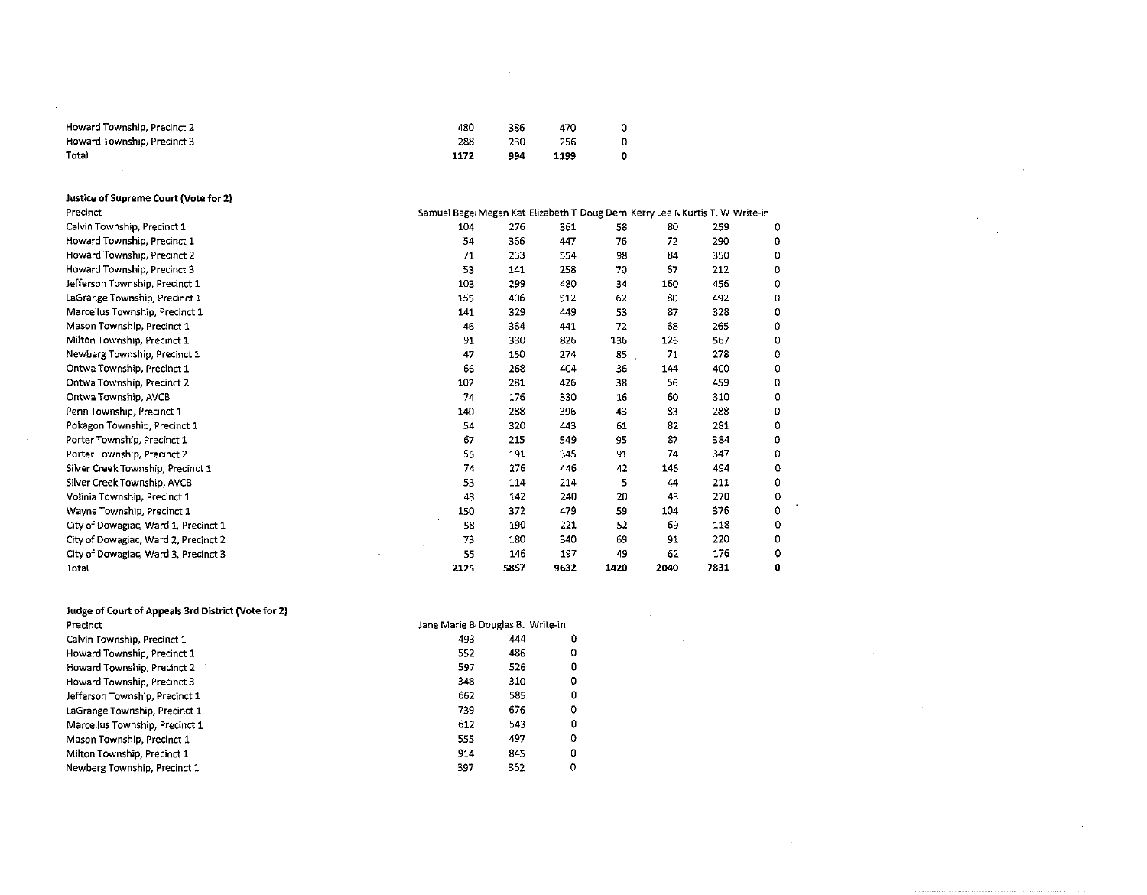| Howard Township, Precinct 2 | 480  | 386 | 470  |   |
|-----------------------------|------|-----|------|---|
| Howard Township, Precinct 3 | 288  | 230 | 256  |   |
| Total                       | 1172 | 994 | 1199 | 0 |
|                             |      |     |      |   |

| Justice of Supreme Court (Vote for 2) |                                                                               |      |      |      |      |      |         |
|---------------------------------------|-------------------------------------------------------------------------------|------|------|------|------|------|---------|
| Precinct                              | Samuel Bage: Megan Kat Elizabeth T Doug Dern Kerry Lee N Kurtis T. W Write-in |      |      |      |      |      |         |
| Calvin Township, Precinct 1           | 104                                                                           | 276  | 361  | 58   | 80   | 259  | 0       |
| Howard Township, Precinct 1           | 54                                                                            | 366  | 447  | 76   | 72   | 290  | 0       |
| Howard Township, Precinct 2           | 71                                                                            | 233  | 554  | 98   | 84   | 350  | ٥       |
| Howard Township, Precinct 3           | 53                                                                            | 141  | 258  | 70   | 67   | 212  | 0       |
| Jefferson Township, Precinct 1        | 103                                                                           | 299  | 480  | 34   | 160  | 456  | 0       |
| LaGrange Township, Precinct 1         | 155                                                                           | 406  | 512  | 62   | 80   | 492  | o       |
| Marcellus Township, Precinct 1        | 141                                                                           | 329  | 449  | 53   | 87   | 328  | Ω       |
| Mason Township, Precinct 1            | 46                                                                            | 364  | 441  | 72   | 68   | 265  | 0       |
| Milton Township, Precinct 1           | 91                                                                            | 330  | 826  | 136  | 126  | 567  | 0       |
| Newberg Township, Precinct 1          | 47                                                                            | 150  | 274  | 85   | 71   | 278  | 0       |
| Ontwa Township, Precinct 1            | 66                                                                            | 268  | 404  | 36   | 144  | 400  | o       |
| Ontwa Township, Precinct 2            | 102                                                                           | 281  | 426  | 38   | 56   | 459  | 0       |
| Ontwa Township, AVCB                  | 74                                                                            | 176  | 330  | 16   | 60   | 310  | $\circ$ |
| Penn Township, Precinct 1             | 140                                                                           | 288  | 396  | 43   | 83   | 288  | o       |
| Pokagon Township, Precinct 1          | 54                                                                            | 320  | 443  | 61   | 82   | 281  | O       |
| Porter Township, Precinct 1           | 67                                                                            | 215  | 549  | 95   | 87   | 384  | 0       |
| Porter Township, Precinct 2           | 55                                                                            | 191  | 345  | 91   | 74   | 347  | o       |
| Silver Creek Township, Precinct 1     | 74                                                                            | 276  | 446  | 42   | 146  | 494  | o       |
| Silver Creek Township, AVCB           | 53                                                                            | 114  | 214  | 5    | 44   | 211  | 0       |
| Volinia Township, Precinct 1          | 43                                                                            | 142  | 240  | 20   | 43   | 270  | o       |
| Wayne Township, Precinct 1            | 150                                                                           | 372  | 479  | 59   | 104  | 376  | 0       |
| City of Dowagiac, Ward 1, Precinct 1  | 58                                                                            | 190  | 221  | 52   | 69   | 118  | Ω       |
| City of Dowagiac, Ward 2, Precinct 2  | 73                                                                            | 180  | 340  | 69   | 91   | 220  | 0       |
| City of Dowagiac, Ward 3, Precinct 3  | 55                                                                            | 146  | 197  | 49   | 62   | 176  | Ω       |
| Total                                 | 2125                                                                          | 5857 | 9632 | 1420 | 2040 | 7831 | Ð       |

 $\sim$ 

 $\sim$ 

 $\sim$ 

 $\mathcal{A}^{\mathcal{A}}$ 

 $\sim$ 

 $\sim 10$ 

| Judge of Court of Appeals 3rd District (Vote for 2) |                                  |     |   |  |  |
|-----------------------------------------------------|----------------------------------|-----|---|--|--|
| Precinct                                            | Jane Marie B Douglas B. Write-in |     |   |  |  |
| Calvin Township, Precinct 1                         | 493                              | 444 | 0 |  |  |
| Howard Township, Precinct 1                         | 552                              | 486 | 0 |  |  |
| Howard Township, Precinct 2                         | 597                              | 526 | 0 |  |  |
| Howard Township, Precinct 3                         | 348                              | 310 | 0 |  |  |
| Jefferson Township, Precinct 1                      | 662                              | 585 | 0 |  |  |
| LaGrange Township, Precinct 1                       | 739                              | 676 | 0 |  |  |
| Marcellus Township, Precinct 1                      | 612                              | 543 | 0 |  |  |
| Mason Township, Precinct 1                          | 555                              | 497 | 0 |  |  |
| Milton Township, Precinct 1                         | 914                              | 845 | ٥ |  |  |
| Newberg Township, Precinct 1                        | 397                              | 362 | 0 |  |  |

 $\sim$   $\sim$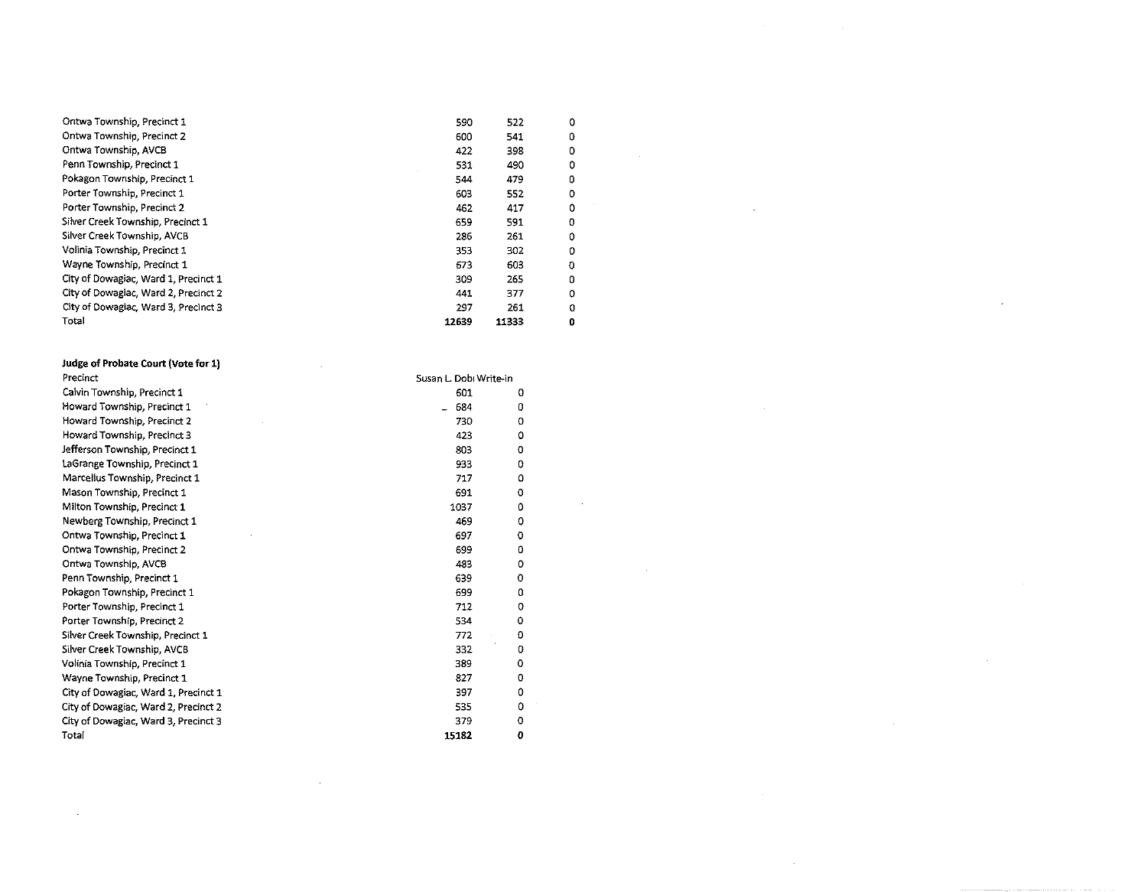| Ontwa Township, Precinct 1           | 590   | 522   | 0 |  |
|--------------------------------------|-------|-------|---|--|
| Ontwa Township, Precinct 2           | 600   | 541   | 0 |  |
| Ontwa Township, AVCB                 | 422   | 398   | 0 |  |
| Penn Township, Precinct 1            | 531   | 490   | ٥ |  |
| Pokagon Township, Precinct 1         | 544   | 479   | 0 |  |
| Porter Township, Precinct 1          | 603   | 552   | 0 |  |
| Porter Township, Precinct 2          | 462   | 417   | o |  |
| Silver Creek Township, Precinct 1    | 659   | 591   | 0 |  |
| Silver Creek Township, AVCB          | 286   | 261   | 0 |  |
| Volinia Township, Precinct 1         | 353   | 302   |   |  |
| Wayne Township, Precinct 1           | 673   | 603   | 0 |  |
| City of Dowagiac, Ward 1, Precinct 1 | 309   | 265   | 0 |  |
| City of Dowagiac, Ward 2, Precinct 2 | 441   | 377   | 0 |  |
| City of Dowagiac, Ward 3, Precinct 3 | 297   | 261   | 0 |  |
| Total                                | 12639 | 11333 | 0 |  |

 $\label{eq:2.1} \mathcal{L}_{\mathcal{A}}(\mathcal{A}) = \mathcal{L}_{\mathcal{A}}(\mathcal{A}) = \mathcal{L}_{\mathcal{A}}(\mathcal{A}) = \mathcal{L}_{\mathcal{A}}(\mathcal{A})$ 

 $\mathcal{L}^{\text{max}}_{\text{max}}$  and  $\mathcal{L}^{\text{max}}_{\text{max}}$ 

 $\label{eq:2.1} \frac{1}{2} \int_{\mathbb{R}^3} \left| \frac{1}{2} \left( \frac{1}{2} \right) \right| \, \frac{1}{2} \, \frac{1}{2} \int_{\mathbb{R}^3} \left| \frac{1}{2} \left( \frac{1}{2} \right) \right| \, \frac{1}{2} \, \frac{1}{2} \int_{\mathbb{R}^3} \left| \frac{1}{2} \left( \frac{1}{2} \right) \right| \, \frac{1}{2} \, \frac{1}{2} \int_{\mathbb{R}^3} \left| \frac{1}{2} \left( \frac{1}{2} \right) \$ 

 $\label{eq:2.1} \mathcal{L}(\mathcal{L}^{\mathcal{L}}_{\mathcal{L}}(\mathcal{L}^{\mathcal{L}}_{\mathcal{L}})) = \mathcal{L}(\mathcal{L}^{\mathcal{L}}_{\mathcal{L}}(\mathcal{L}^{\mathcal{L}}_{\mathcal{L}}))$ 

| Judge of Probate Court (Vote for 1)  |                        |   |  |
|--------------------------------------|------------------------|---|--|
| Precinct                             | Susan L. Dobi Write-in |   |  |
| Calvin Township, Precinct 1          | 601                    | 0 |  |
| Howard Township, Precinct 1          | 684                    | 0 |  |
| Howard Township, Precinct 2          | 730                    | 0 |  |
| Howard Township, Precinct 3          | 423                    | 0 |  |
| Jefferson Township, Precinct 1       | 803                    | 0 |  |
| LaGrange Township, Precinct 1        | 933                    | 0 |  |
| Marcellus Township, Precinct 1       | 717                    | ٥ |  |
| Mason Township, Precinct 1           | 691                    | 0 |  |
| Milton Township, Precinct 1          | 1037                   | 0 |  |
| Newberg Township, Precinct 1         | 469                    | ٥ |  |
| Ontwa Township, Precinct 1           | 697                    | o |  |
| Ontwa Township, Precinct 2           | 699                    | 0 |  |
| Ontwa Township, AVCB                 | 483                    | 0 |  |
| Penn Township, Precinct 1            | 639                    | 0 |  |
| Pokagon Township, Precinct 1         | 699                    | 0 |  |
| Porter Township, Precinct 1          | 712                    | 0 |  |
| Porter Township, Precinct 2          | 534                    | 0 |  |
| Silver Creek Township, Precinct 1    | 772                    | O |  |
| Silver Creek Township, AVCB          | 332                    | 0 |  |
| Volínia Township, Precinct 1         | 389                    | 0 |  |
| Wayne Township, Precinct 1           | 827                    | 0 |  |
| City of Dowagiac, Ward 1, Precinct 1 | 397                    | 0 |  |
| City of Dowagiac, Ward 2, Precinct 2 | 535                    | 0 |  |
| City of Dowagiac, Ward 3, Precinct 3 | 379                    | o |  |
| Total                                | 15182                  | 0 |  |

 $\mathcal{L}(\mathcal{L})$  .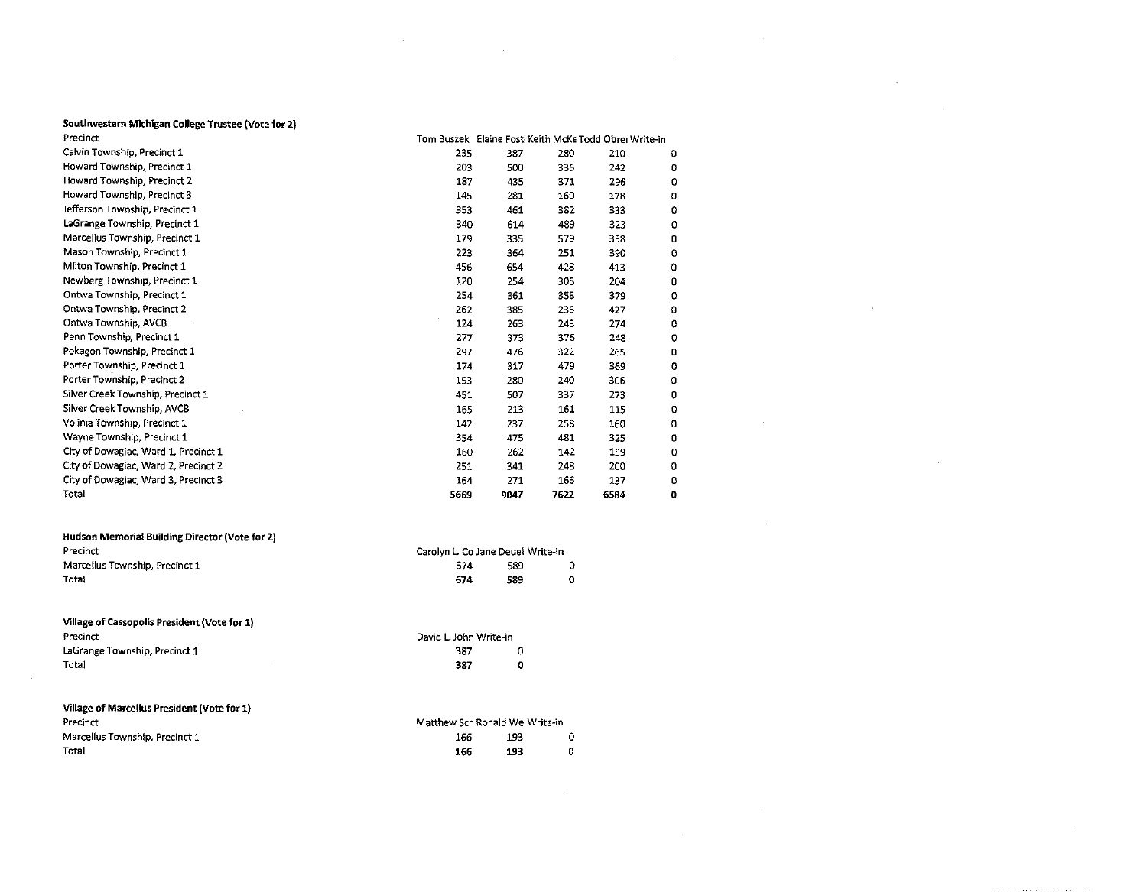## Southwestern Michigan College Trustee (Vote for 2}

| Precinct                             |      | Tom Buszek Elaine Fost Keith McKe Todd Obrei Write-in |      |      |              |
|--------------------------------------|------|-------------------------------------------------------|------|------|--------------|
| Calvin Township, Precinct 1          | 235  | 387                                                   | 280  | 210  | Ð            |
| Howard Township, Precinct 1          | 203  | 500                                                   | 335  | 242  | 0            |
| Howard Township, Precinct 2          | 187  | 435                                                   | 371  | 296  | 0            |
| Howard Township, Precinct 3          | 145  | 281                                                   | 160  | 178  | 0            |
| Jefferson Township, Precinct 1       | 353  | 461                                                   | 382  | 333  | 0            |
| LaGrange Township, Precinct 1        | 340  | 614                                                   | 489  | 323  | 0            |
| Marcellus Township, Precinct 1       | 179  | 335                                                   | 579  | 358  | 0            |
| Mason Township, Precinct 1           | 223  | 364                                                   | 251  | 390  | ۰o           |
| Milton Township, Precinct 1          | 456  | 654                                                   | 428  | 413  | 0            |
| Newberg Township, Precinct 1         | 120  | 254                                                   | 305  | 204  | 0            |
| Ontwa Township, Precinct 1           | 254  | 361                                                   | 355  | 379  | $\mathbf{0}$ |
| Ontwa Township, Precinct 2           | 262  | 385                                                   | 236  | 427  | 0            |
| Ontwa Township, AVCB                 | 124  | 263                                                   | 243  | 274  | ٥            |
| Penn Township, Precinct 1            | 277  | 373                                                   | 376  | 248  | o            |
| Pokagon Township, Precinct 1         | 297  | 476                                                   | 322  | 265  | 0            |
| Porter Township, Precinct 1          | 174  | 317                                                   | 479  | 369  | 0            |
| Porter Township, Precinct 2          | 153  | 280                                                   | 240  | 306  | ٥            |
| Silver Creek Township, Precinct 1    | 451  | 507                                                   | 337  | 273  | 0            |
| Silver Creek Township, AVCB          | 165  | 213                                                   | 161  | 115  | 0            |
| Volinia Township, Precinct 1         | 142  | 237                                                   | 258  | 160  | 0            |
| Wayne Township, Precinct 1           | 354  | 475                                                   | 481  | 325  | 0            |
| City of Dowagiac, Ward 1, Precinct 1 | 160  | 262                                                   | 142  | 159  | o            |
| City of Dowagiac, Ward 2, Precinct 2 | 251  | 341                                                   | 248  | 200  | O            |
| City of Dowagiac, Ward 3, Precinct 3 | 164  | 271                                                   | 166  | 137  | 0            |
| Total                                | 5669 | 9047                                                  | 7622 | 6584 | 0            |
|                                      |      |                                                       |      |      |              |

 $\mathcal{L}$ 

 $\sim 10^{-1}$ 

 $\sim$ 

| Hudson Memorial Building Director (Vote for 2) |                                   |     |  |  |  |
|------------------------------------------------|-----------------------------------|-----|--|--|--|
| Precinct                                       | Carolyn L. Co Jane Deuel Write-in |     |  |  |  |
| Marcellus Township, Precinct 1                 | 674                               | 589 |  |  |  |
| Total                                          | 674                               | 589 |  |  |  |
|                                                |                                   |     |  |  |  |

#### Village of Cassopolis President (Vote for 1) Precinct LaGrange Township, Precinct 1 Total David L. John Write-in 387 0 387 0

| Village of Marcellus President (Vote for 1) |                                |     |   |  |
|---------------------------------------------|--------------------------------|-----|---|--|
| Precinct                                    | Matthew Sch Ronald We Write-in |     |   |  |
| Marcellus Township, Precinct 1              | 166                            | 193 |   |  |
| Total                                       | 166                            | 193 | 0 |  |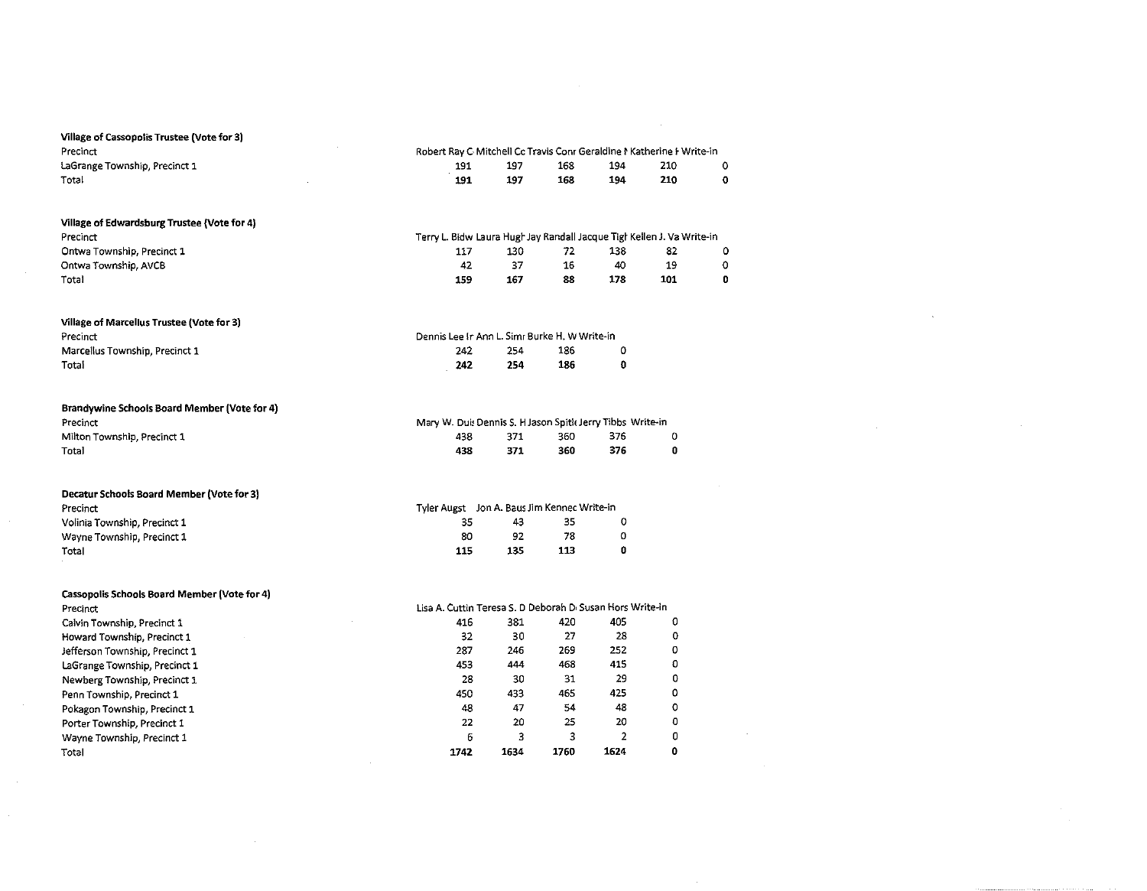| Village of Cassopolis Trustee (Vote for 3)          |                                                                        |      |      |                |             |             |
|-----------------------------------------------------|------------------------------------------------------------------------|------|------|----------------|-------------|-------------|
| Precinct                                            | Robert Ray C Mitchell Cc Travis Conr Geraldine I Katherine I Write-in  |      |      |                |             |             |
| LaGrange Township, Precinct 1                       | 191                                                                    | 197  | 168  | 194            | 210         | 0           |
| Total                                               | 191                                                                    | 197  | 168  | 194            | 210         | $\mathbf 0$ |
|                                                     |                                                                        |      |      |                |             |             |
| Village of Edwardsburg Trustee (Vote for 4)         |                                                                        |      |      |                |             |             |
| Precinct                                            | Terry L. Bidw Laura Hugh Jay Randall Jacque Tigh Kellen J. Va Write-in |      |      |                |             |             |
| Ontwa Township, Precinct 1                          | 117                                                                    | 130  | 72   | 138            | 82          | 0           |
| Ontwa Township, AVCB                                | 42                                                                     | 37   | 16   | 40             | 19          | 0           |
| Total                                               | 159                                                                    | 167  | 88   | 178            | 101         | 0           |
|                                                     |                                                                        |      |      |                |             |             |
| Village of Marcellus Trustee (Vote for 3)           |                                                                        |      |      |                |             |             |
| Precinct                                            | Dennis Lee Ir Ann L. Simr Burke H. W Write-in                          |      |      |                |             |             |
| Marcellus Township, Precinct 1                      | 242                                                                    | 254  | 186  | 0              |             |             |
| Total                                               | 242                                                                    | 254  | 186  | $\pmb{0}$      |             |             |
|                                                     |                                                                        |      |      |                |             |             |
| <b>Brandywine Schools Board Member (Vote for 4)</b> |                                                                        |      |      |                |             |             |
| Precinct                                            | Mary W. Duis Dennis S. H Jason Spitic Jerry Tibbs Write-in             |      |      |                |             |             |
| Milton Township, Precinct 1                         | 438                                                                    | 371  | 360  | 376            | 0           |             |
| Total                                               | 438                                                                    | 371  | 360  | 376            | O           |             |
|                                                     |                                                                        |      |      |                |             |             |
| Decatur Schools Board Member (Vote for 3)           |                                                                        |      |      |                |             |             |
| Precinct                                            | Tyler Augst Jon A. Baus Jim Kennec Write-in                            |      |      |                |             |             |
| Volinia Township, Precinct 1                        | 35                                                                     | 43   | 35   | 0              |             |             |
| Wayne Township, Precinct 1                          | 80                                                                     | 92   | 78   | 0              |             |             |
| Total                                               | 115                                                                    | 135  | 113  | $\mathbf 0$    |             |             |
|                                                     |                                                                        |      |      |                |             |             |
| Cassopolis Schools Board Member (Vote for 4)        |                                                                        |      |      |                |             |             |
| Precinct                                            | Lisa A. Cuttin Teresa S. D Deborah D. Susan Hors Write-in              |      |      |                |             |             |
| Calvin Township, Precinct 1                         | 416                                                                    | 381  | 420  | 405            | 0           |             |
| Howard Township, Precinct 1                         | 32                                                                     | 30   | 27   | 28             | $\mathbf 0$ |             |
| Jefferson Township, Precinct 1                      | 287                                                                    | 246  | 269  | 252            | 0           |             |
| LaGrange Township, Precinct 1                       | 453                                                                    | 444  | 468  | 415            | 0           |             |
| Newberg Township, Precinct 1                        | 28                                                                     | 30   | 31   | 29             | 0           |             |
| Penn Township, Precinct 1                           | 450                                                                    | 433  | 465  | 425            | 0           |             |
| Pokagon Township, Precinct 1                        | 48                                                                     | 47   | 54   | 48             | o           |             |
| Porter Township, Precinct 1                         | 22                                                                     | 20   | 25   | 20             | 0           |             |
| Wayne Township, Precinct 1                          | 6                                                                      | 3    | 3    | $\overline{2}$ | 0           |             |
| Total                                               | 1742                                                                   | 1634 | 1760 | 1624           | $\bullet$   |             |
|                                                     |                                                                        |      |      |                |             |             |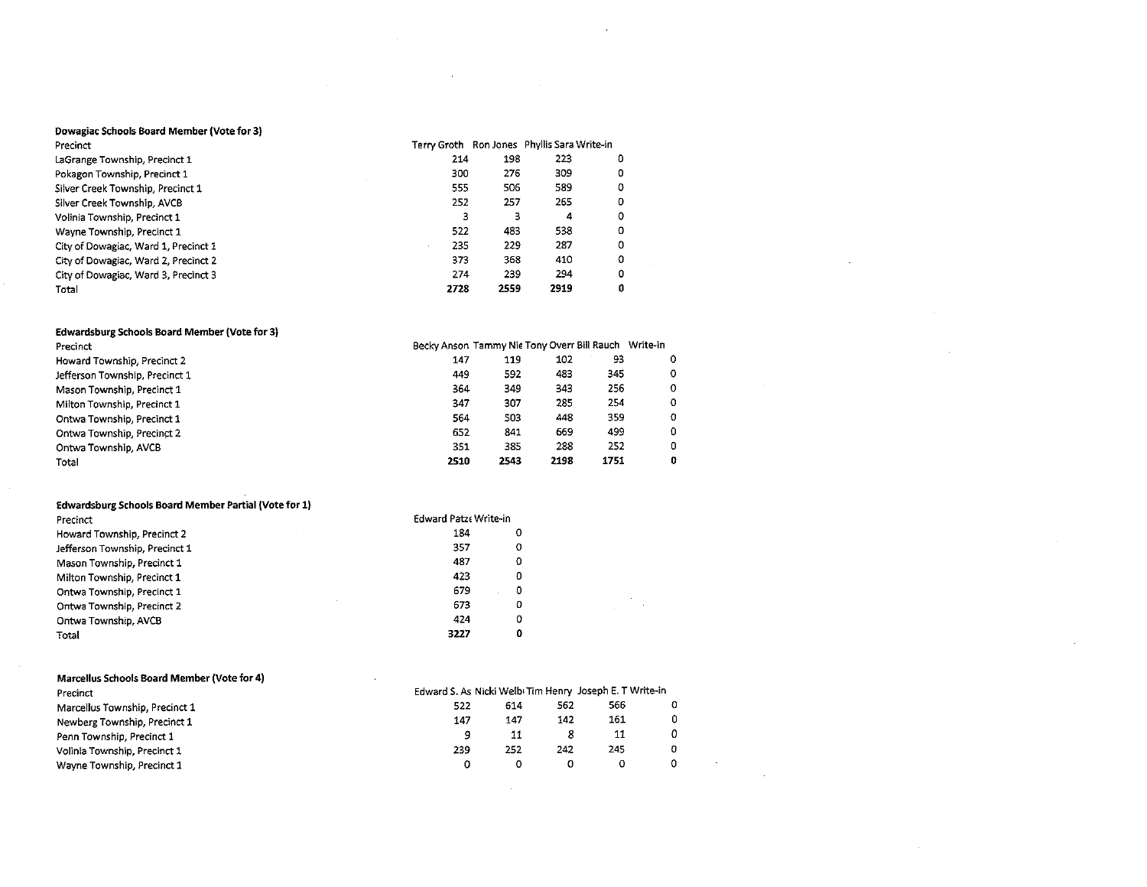#### Dowagiac Schools Board Member (Vote for 3)

| Precinct                             |      |      | Terry Groth Ron Jones Phyllis Sara Write-in |   |
|--------------------------------------|------|------|---------------------------------------------|---|
| LaGrange Township, Precinct 1        | 214  | 198  | 223                                         | o |
| Pokagon Township, Precinct 1         | 300  | 276  | 309                                         | 0 |
| Silver Creek Township, Precinct 1    | 555  | 506  | 589                                         | o |
| Silver Creek Township, AVCB          | 252  | 257  | 265                                         | ο |
| Volinia Township, Precinct 1         | 3    | з    | 4                                           | o |
| Wayne Township, Precinct 1           | 522  | 483  | 538                                         | o |
| City of Dowagiac, Ward 1, Precinct 1 | 235  | 229  | 287                                         | Ω |
| City of Dowagiac, Ward 2, Precinct 2 | 373  | 368  | 410                                         | o |
| City of Dowagiac, Ward 3, Precinct 3 | 274  | 239  | 294                                         | 0 |
| Total                                | 2728 | 2559 | 2919                                        | o |

 $\sim$ 

 $\mathbf{r}$ 

 $\mathcal{F}_{\text{max}}$ 

 $\sim 10^7$ 

#### Edwardsburg Schools Board Member (Vote for 3)

| Precinct                       | Becky Anson Tammy Nie Tony Overr Bill Rauch |      |      |      | Write-in   |  |
|--------------------------------|---------------------------------------------|------|------|------|------------|--|
| Howard Township, Precinct 2    | 147                                         | 119  | 102  | 93   | 0          |  |
| Jefferson Township, Precinct 1 | 449                                         | 592  | 483  | 345  | 0          |  |
| Mason Township, Precinct 1     | 364                                         | 349  | 343  | 256  | 0          |  |
| Milton Township, Precinct 1    | 347                                         | 307  | 285  | 254  | $\Omega$   |  |
| Ontwa Township, Precinct 1     | 564                                         | 503  | 448  | 359  | $^{\circ}$ |  |
| Ontwa Township, Precinct 2     | 652                                         | 841  | 669  | 499  | 0          |  |
| Ontwa Township, AVCB           | 351                                         | 385  | 288  | 252  | 0          |  |
| Total                          | 2510                                        | 2543 | 2198 | 1751 | 0          |  |
|                                |                                             |      |      |      |            |  |

#### Edwardsburg Schools Board Member Partial (Vote for 1)

| Precinct                       | Edward Patze Write-in |   |
|--------------------------------|-----------------------|---|
| Howard Township, Precinct 2    | 184                   | ٥ |
| Jefferson Township, Precinct 1 | 357                   | 0 |
| Mason Township, Precinct 1     | 487                   | 0 |
| Milton Township, Precinct 1    | 423                   | 0 |
| Ontwa Township, Precinct 1     | 679                   | 0 |
| Ontwa Township, Precinct 2     | 673                   | 0 |
| Ontwa Township, AVCB           | 424                   | 0 |
| Total                          | 3227                  | 0 |

| 522 | 614 | 562 | 566 |                                                         |
|-----|-----|-----|-----|---------------------------------------------------------|
| 147 | 147 | 142 | 161 |                                                         |
|     | 11  |     | 11  |                                                         |
| 239 | 252 | 242 | 245 |                                                         |
|     |     | 0   |     |                                                         |
|     |     |     |     | Edward S. As Nicki Welb: Tim Henry Joseph E. T Write-in |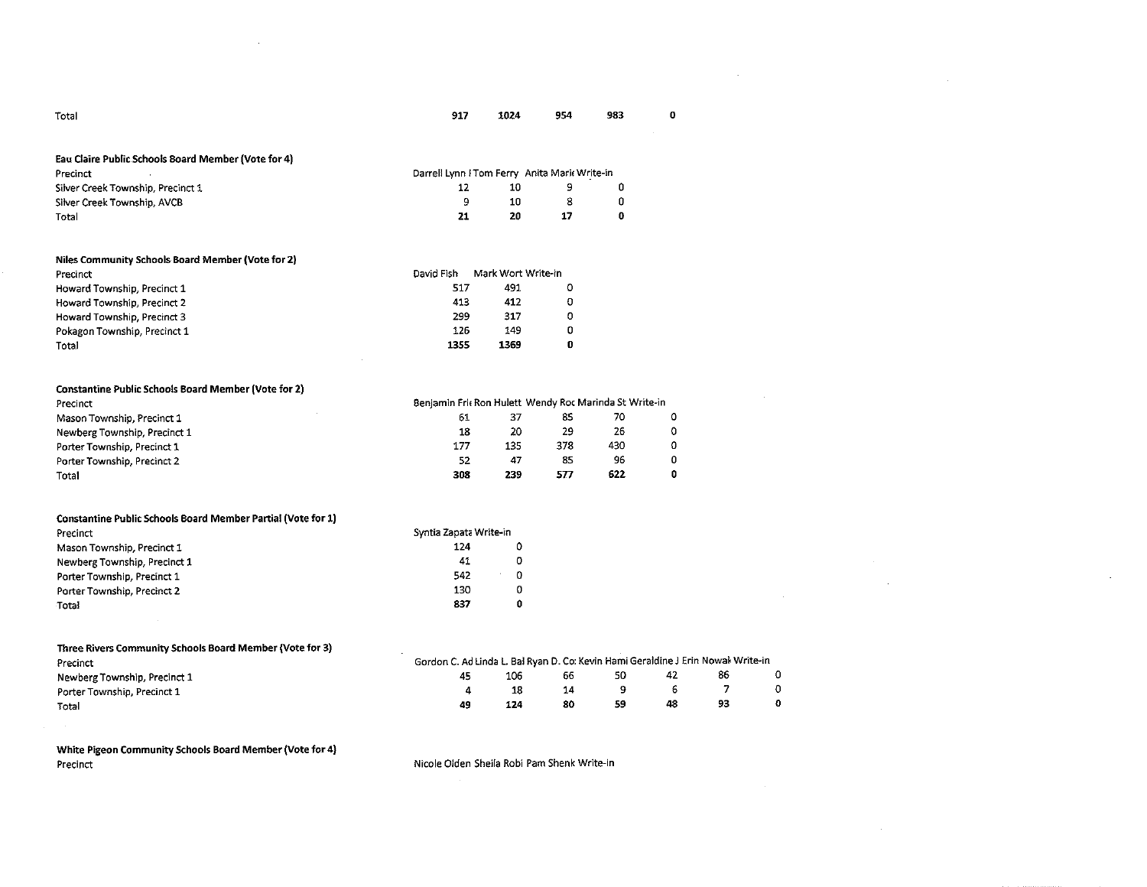| Total                                               | 917                                                 | 1024 | 954 | 983 |
|-----------------------------------------------------|-----------------------------------------------------|------|-----|-----|
|                                                     |                                                     |      |     |     |
| Eau Claire Public Schools Board Member (Vote for 4) |                                                     |      |     |     |
|                                                     |                                                     |      |     |     |
| Precinct                                            |                                                     |      |     |     |
| Silver Creek Township, Precinct 1                   | Darrell Lynn I Tom Ferry Anita Maric Write-in<br>12 | 10   | 9   | 0   |
| Silver Creek Township, AVCB                         | 9                                                   | 10   | 8   | 0   |

| Niles Community Schools Board Member (Vote for 2) |            |                    |   |
|---------------------------------------------------|------------|--------------------|---|
| Precinct                                          | David Fish | Mark Wort Write-in |   |
| Howard Township, Precinct 1                       | 517        | 491                | o |
| Howard Township, Precinct 2                       | 413        | 412                | o |
| Howard Township, Precinct 3                       | 299        | 317                | 0 |
| Pokagon Township, Precinct 1                      | 126        | 149                | 0 |
| Total                                             | 1355       | 1369               | 0 |

| <b>Constantine Public Schools Board Member (Vote for 2)</b> |                                                        |     |     |     |  |
|-------------------------------------------------------------|--------------------------------------------------------|-----|-----|-----|--|
| Precinct                                                    | Benjamin Fric Ron Hulett Wendy Roc Marinda St Write-in |     |     |     |  |
| Mason Township, Precinct 1                                  | 61                                                     | 37  | 85  | 70  |  |
| Newberg Township, Precinct 1                                | 18                                                     | 20  | 29  | 26  |  |
| Porter Township, Precinct 1                                 | 177                                                    | 135 | 378 | 430 |  |
| Porter Township, Precinct 2                                 | 52                                                     | 47  | 85  | 96  |  |
| Total                                                       | 308                                                    | 239 | 577 | 622 |  |

| <b>Constantine Public Schools Board Member Partial (Vote for 1)</b> |                        |   |
|---------------------------------------------------------------------|------------------------|---|
| Precinct                                                            | Syntia Zapata Write-in |   |
| Mason Township, Precinct 1                                          | 124                    | 0 |
| Newberg Township, Precinct 1                                        | 41                     | o |
| Porter Township, Precinct 1                                         | 542                    | 0 |
| Porter Township, Precinct 2                                         | 130                    | 0 |
| Total                                                               | 837                    | O |

| Three Rivers Community Schools Board Member (Vote for 3) |                                                                                  |     |    |    |    |    |  |
|----------------------------------------------------------|----------------------------------------------------------------------------------|-----|----|----|----|----|--|
| Precinct                                                 | Gordon C. Ad Linda L. Bal Ryan D. Co: Kevin Hami Geraldine J Erin Nowal Write-in |     |    |    |    |    |  |
| Newberg Township, Precinct 1                             | 45                                                                               | 106 | 66 | 50 | 42 | 86 |  |
| Porter Township, Precinct 1                              |                                                                                  |     | 14 |    |    |    |  |
| Total                                                    | 49                                                                               | 124 | 80 | 59 | 48 | 93 |  |

**White Pigeon Community Schools Board Member (Vote for 4)**  Precinct

 $\Delta \phi = 0.01$ 

Nicole Olden Sheila Robi Pam Shenk Write-in

 $\sim 10^7$ 

0

 $\sim$ 

 $\sim 10^{-1}$ 

 $\sim$ 

 $\sim$   $\sim$ 

 $\sim$ 

 $\mathcal{L}$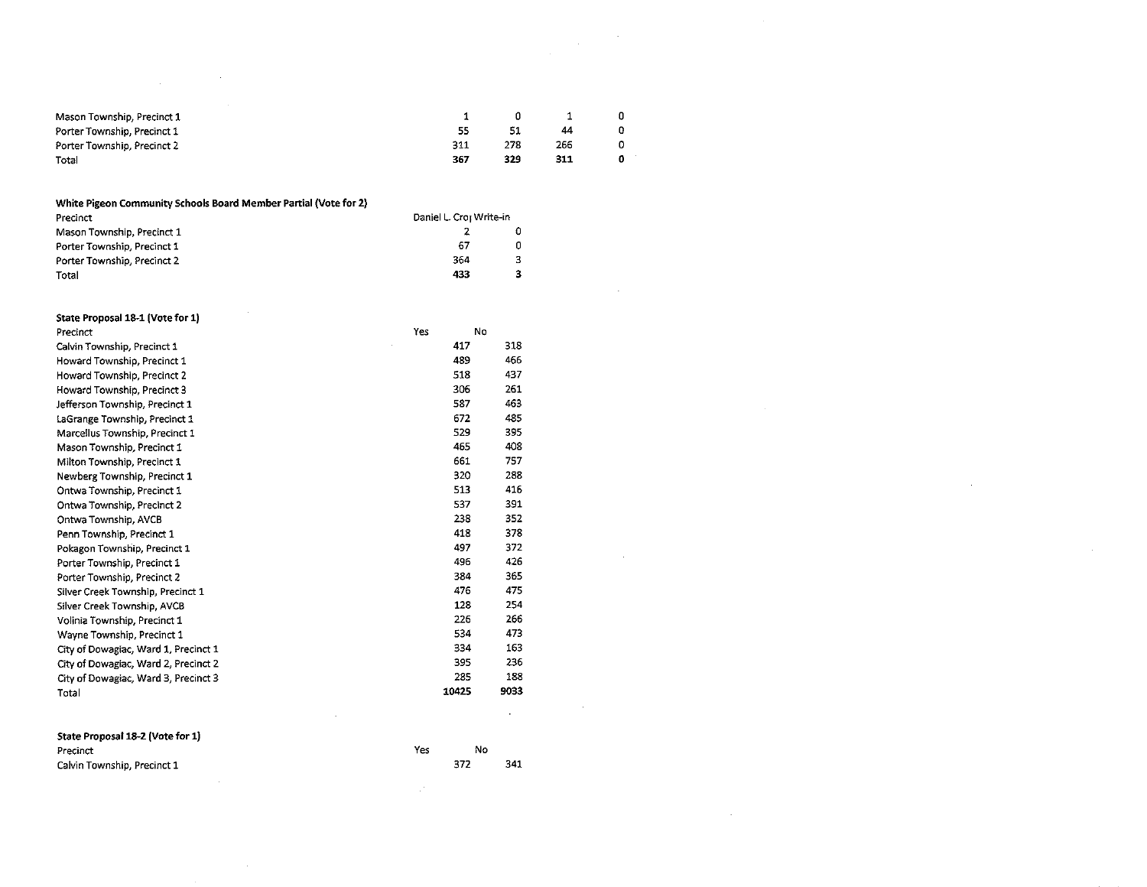|     | Ω   |     |  |
|-----|-----|-----|--|
| 55  | 51  | 44  |  |
| 311 | 278 | 266 |  |
| 367 | 329 | 311 |  |
|     |     |     |  |

 $\sim 10^6$ 

 $\sim$ 

 $\sim$ 

 $\sim$ 

 $\sim$   $\sim$ 

#### **White Pigeon Community Schools Board Member Partial (Vote for 2)**

| Precinct                    | Daniel L. Croi Write-in |   |
|-----------------------------|-------------------------|---|
| Mason Township, Precinct 1  |                         |   |
| Porter Township, Precinct 1 | 67                      | 0 |
| Porter Township, Precinct 2 | 364                     | 3 |
| Total                       | 433                     | 3 |

| State Proposal 18-1 (Vote for 1)     |     |       |      |
|--------------------------------------|-----|-------|------|
| Precinct                             | Yes | No    |      |
| Calvin Township, Precinct 1          |     | 417   | 318  |
| Howard Township, Precinct 1          |     | 489   | 466  |
| Howard Township, Precinct 2          |     | 518   | 437  |
| Howard Township, Precinct 3          |     | 306   | 261  |
| Jefferson Township, Precinct 1       |     | 587   | 463  |
| LaGrange Township, Precinct 1        |     | 672   | 485  |
| Marcellus Township, Precinct 1       |     | 529   | 395  |
| Mason Township, Precinct 1           |     | 465   | 408  |
| Milton Township, Precinct 1          |     | 661   | 757  |
| Newberg Township, Precinct 1         |     | 320   | 288  |
| Ontwa Township, Precinct 1           |     | 513   | 416  |
| Ontwa Township, Precinct 2           |     | 537   | 391  |
| Ontwa Township, AVCB                 |     | 238   | 352  |
| Penn Township, Precinct 1            |     | 418   | 378  |
| Pokagon Township, Precinct 1         |     | 497   | 372  |
| Porter Township, Precinct 1          |     | 496   | 426  |
| Porter Township, Precinct 2          |     | 384   | 365  |
| Silver Creek Township, Precinct 1    |     | 476   | 475  |
| Silver Creek Township, AVCB          |     | 128   | 254  |
| Volinia Township, Precinct 1         |     | 226   | 266  |
| Wayne Township, Precinct 1           |     | 534   | 473  |
| City of Dowagiac, Ward 1, Precinct 1 |     | 334   | 163  |
| City of Dowagiac, Ward 2, Precinct 2 |     | 395   | 236  |
| City of Dowagiac, Ward 3, Precinct 3 |     | 235   | 188  |
| Total                                |     | 10425 | 9033 |
|                                      |     |       |      |
| State Proposal 18-2 (Vote for 1)     |     |       |      |

| Precinct                    | Yes | No |     |
|-----------------------------|-----|----|-----|
| Calvin Township, Precinct 1 |     |    | 341 |

 $\sim 10^{-1}$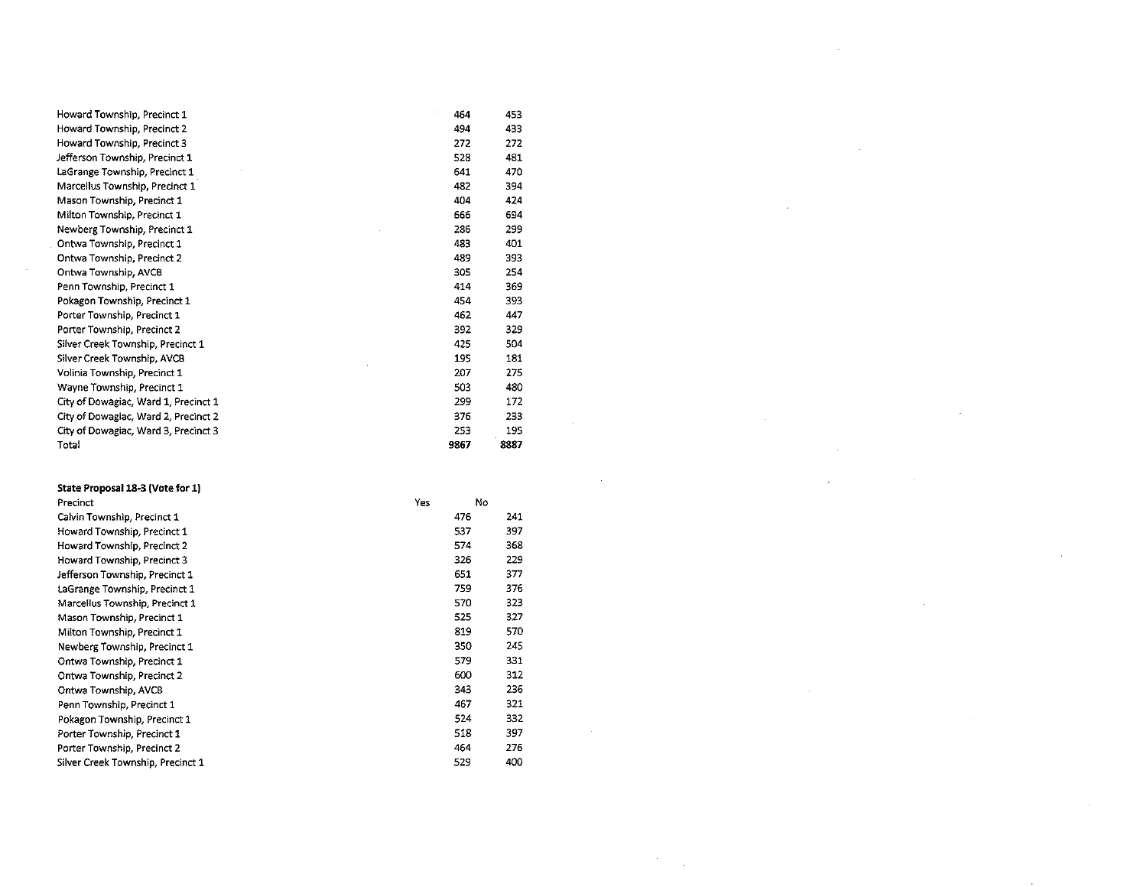| Howard Township, Precinct 1          | 464  | 453  |
|--------------------------------------|------|------|
| Howard Township, Precinct 2          | 494  | 433  |
| Howard Township, Precinct 3          | 272  | 272  |
| Jefferson Township, Precinct 1       | 528  | 481  |
| LaGrange Township, Precinct 1        | 641  | 470  |
| Marcellus Township, Precinct 1       | 482  | 394  |
| Mason Township, Precinct 1           | 404  | 424  |
| Milton Township, Precinct 1          | 666  | 694  |
| Newberg Township, Precinct 1         | 286  | 299  |
| Ontwa Township, Precinct 1           | 483  | 401  |
| Ontwa Township, Precinct 2           | 489  | 393  |
| Ontwa Township, AVCB                 | 305  | 254  |
| Penn Township, Precinct 1            | 414  | 369  |
| Pokagon Township, Precinct 1         | 454  | 393  |
| Porter Township, Precinct 1          | 462  | 447  |
| Porter Township, Precinct 2          | 392  | 329  |
| Silver Creek Township, Precinct 1    | 425  | 504  |
| Silver Creek Township, AVCB          | 195  | 181  |
| Volinia Township, Precinct 1         | 207  | 275  |
| Wayne Township, Precinct 1           | 503  | 480  |
| City of Dowagiac, Ward 1, Precinct 1 | 299  | 172  |
| City of Dowagiac, Ward 2, Precinct 2 | 376  | 233  |
| City of Dowagiac, Ward 3, Precinct 3 | 253  | 195  |
| Total                                | 9867 | 8887 |

 $\label{eq:2.1} \begin{split} \mathcal{L}_{\text{max}}(\mathcal{L}_{\text{max}}) = \mathcal{L}_{\text{max}}(\mathcal{L}_{\text{max}}) \,, \end{split}$ 

 $\label{eq:2.1} \mathcal{L}(\mathcal{L}(\mathcal{L})) = \mathcal{L}(\mathcal{L}(\mathcal{L})) = \mathcal{L}(\mathcal{L}(\mathcal{L})) = \mathcal{L}(\mathcal{L}(\mathcal{L})) = \mathcal{L}(\mathcal{L}(\mathcal{L}))$ 

 $\label{eq:2.1} \frac{1}{\sqrt{2\pi}}\left(\frac{1}{\sqrt{2\pi}}\right)^{2/3}\frac{1}{\sqrt{2\pi}}\left(\frac{1}{\sqrt{2\pi}}\right)^{2/3}\frac{1}{\sqrt{2\pi}}\left(\frac{1}{\sqrt{2\pi}}\right)^{2/3}\frac{1}{\sqrt{2\pi}}\left(\frac{1}{\sqrt{2\pi}}\right)^{2/3}\frac{1}{\sqrt{2\pi}}\left(\frac{1}{\sqrt{2\pi}}\right)^{2/3}\frac{1}{\sqrt{2\pi}}\frac{1}{\sqrt{2\pi}}\frac{1}{\sqrt{2\pi}}\frac{1}{\sqrt{2\$ 

 $\label{eq:2.1} \mathcal{L}(\mathcal{L}^{\mathcal{L}}_{\mathcal{L}}(\mathcal{L}^{\mathcal{L}}_{\mathcal{L}})) = \mathcal{L}(\mathcal{L}^{\mathcal{L}}_{\mathcal{L}}(\mathcal{L}^{\mathcal{L}}_{\mathcal{L}})) = \mathcal{L}(\mathcal{L}^{\mathcal{L}}_{\mathcal{L}}(\mathcal{L}^{\mathcal{L}}_{\mathcal{L}}))$ 

 $\mathcal{L}(\mathcal{L}(\mathcal{L}(\mathcal{L}(\mathcal{L}(\mathcal{L}(\mathcal{L}(\mathcal{L}(\mathcal{L}(\mathcal{L}(\mathcal{L}(\mathcal{L}(\mathcal{L}(\mathcal{L}(\mathcal{L}(\mathcal{L}(\mathcal{L}(\mathcal{L}(\mathcal{L}(\mathcal{L}(\mathcal{L}(\mathcal{L}(\mathcal{L}(\mathcal{L}(\mathcal{L}(\mathcal{L}(\mathcal{L}(\mathcal{L}(\mathcal{L}(\mathcal{L}(\mathcal{L}(\mathcal{L}(\mathcal{L}(\mathcal{L}(\mathcal{L}(\mathcal{L}(\mathcal{$ 

 $\mathcal{L}(\mathcal{L}^{\mathcal{L}})$  and  $\mathcal{L}^{\mathcal{L}}$  are the set of the set of  $\mathcal{L}^{\mathcal{L}}$ 

| State Proposal 18-3 (Vote for 1)  |     |    |     |
|-----------------------------------|-----|----|-----|
| Precinct                          | Yes | No |     |
| Calvin Township, Precinct 1       | 476 |    | 241 |
| Howard Township, Precinct 1       | 537 |    | 397 |
| Howard Township, Precinct 2       | 574 |    | 368 |
| Howard Township, Precinct 3       | 326 |    | 229 |
| Jefferson Township, Precinct 1    | 651 |    | 377 |
| LaGrange Township, Precinct 1     | 759 |    | 376 |
| Marcellus Township, Precinct 1    | 570 |    | 323 |
| Mason Township, Precinct 1        | 525 |    | 327 |
| Milton Township, Precinct 1       | 819 |    | 570 |
| Newberg Township, Precinct 1      | 350 |    | 245 |
| Ontwa Township, Precinct 1        | 579 |    | 331 |
| Ontwa Township, Precinct 2        | 600 |    | 312 |
| Ontwa Township, AVCB              | 343 |    | 236 |
| Penn Township, Precinct 1         | 467 |    | 321 |
| Pokagon Township, Precinct 1      | 524 |    | 332 |
| Porter Township, Precinct 1       | 518 |    | 397 |
| Porter Township, Precinct 2       | 464 |    | 276 |
| Silver Creek Township, Precinct 1 | 529 |    | 400 |